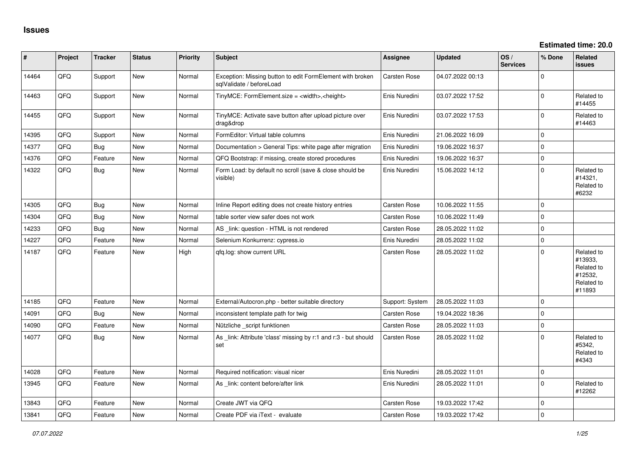| $\vert$ # | Project | <b>Tracker</b> | <b>Status</b> | <b>Priority</b> | Subject                                                                               | Assignee            | <b>Updated</b>   | OS/<br><b>Services</b> | % Done         | Related<br><b>issues</b>                                               |
|-----------|---------|----------------|---------------|-----------------|---------------------------------------------------------------------------------------|---------------------|------------------|------------------------|----------------|------------------------------------------------------------------------|
| 14464     | QFQ     | Support        | New           | Normal          | Exception: Missing button to edit FormElement with broken<br>sqlValidate / beforeLoad | Carsten Rose        | 04.07.2022 00:13 |                        | $\Omega$       |                                                                        |
| 14463     | QFQ     | Support        | New           | Normal          | TinyMCE: FormElement.size = <width>,<height></height></width>                         | Enis Nuredini       | 03.07.2022 17:52 |                        | $\Omega$       | Related to<br>#14455                                                   |
| 14455     | QFQ     | Support        | New           | Normal          | TinyMCE: Activate save button after upload picture over<br>drag&drop                  | Enis Nuredini       | 03.07.2022 17:53 |                        | $\Omega$       | Related to<br>#14463                                                   |
| 14395     | QFQ     | Support        | New           | Normal          | FormEditor: Virtual table columns                                                     | Enis Nuredini       | 21.06.2022 16:09 |                        | $\Omega$       |                                                                        |
| 14377     | QFQ     | Bug            | New           | Normal          | Documentation > General Tips: white page after migration                              | Enis Nuredini       | 19.06.2022 16:37 |                        | $\mathbf 0$    |                                                                        |
| 14376     | QFQ     | Feature        | New           | Normal          | QFQ Bootstrap: if missing, create stored procedures                                   | Enis Nuredini       | 19.06.2022 16:37 |                        | $\overline{0}$ |                                                                        |
| 14322     | QFQ     | Bug            | New           | Normal          | Form Load: by default no scroll (save & close should be<br>visible)                   | Enis Nuredini       | 15.06.2022 14:12 |                        | $\Omega$       | Related to<br>#14321,<br>Related to<br>#6232                           |
| 14305     | QFQ     | Bug            | New           | Normal          | Inline Report editing does not create history entries                                 | Carsten Rose        | 10.06.2022 11:55 |                        | $\mathbf{0}$   |                                                                        |
| 14304     | QFQ     | Bug            | New           | Normal          | table sorter view safer does not work                                                 | Carsten Rose        | 10.06.2022 11:49 |                        | $\Omega$       |                                                                        |
| 14233     | QFQ     | <b>Bug</b>     | New           | Normal          | AS _link: question - HTML is not rendered                                             | Carsten Rose        | 28.05.2022 11:02 |                        | $\Omega$       |                                                                        |
| 14227     | QFQ     | Feature        | New           | Normal          | Selenium Konkurrenz: cypress.io                                                       | Enis Nuredini       | 28.05.2022 11:02 |                        | $\mathbf 0$    |                                                                        |
| 14187     | QFQ     | Feature        | New           | High            | qfq.log: show current URL                                                             | Carsten Rose        | 28.05.2022 11:02 |                        | $\Omega$       | Related to<br>#13933,<br>Related to<br>#12532,<br>Related to<br>#11893 |
| 14185     | QFQ     | Feature        | New           | Normal          | External/Autocron.php - better suitable directory                                     | Support: System     | 28.05.2022 11:03 |                        | $\mathbf 0$    |                                                                        |
| 14091     | QFQ     | Bug            | New           | Normal          | inconsistent template path for twig                                                   | Carsten Rose        | 19.04.2022 18:36 |                        | $\Omega$       |                                                                        |
| 14090     | QFQ     | Feature        | New           | Normal          | Nützliche _script funktionen                                                          | <b>Carsten Rose</b> | 28.05.2022 11:03 |                        | $\Omega$       |                                                                        |
| 14077     | QFQ     | <b>Bug</b>     | New           | Normal          | As _link: Attribute 'class' missing by r:1 and r:3 - but should<br>set                | Carsten Rose        | 28.05.2022 11:02 |                        | $\Omega$       | Related to<br>#5342,<br>Related to<br>#4343                            |
| 14028     | QFQ     | Feature        | New           | Normal          | Required notification: visual nicer                                                   | Enis Nuredini       | 28.05.2022 11:01 |                        | $\mathbf{0}$   |                                                                        |
| 13945     | QFQ     | Feature        | New           | Normal          | As link: content before/after link                                                    | Enis Nuredini       | 28.05.2022 11:01 |                        | $\Omega$       | Related to<br>#12262                                                   |
| 13843     | QFQ     | Feature        | New           | Normal          | Create JWT via QFQ                                                                    | Carsten Rose        | 19.03.2022 17:42 |                        | $\Omega$       |                                                                        |
| 13841     | QFQ     | Feature        | New           | Normal          | Create PDF via iText - evaluate                                                       | <b>Carsten Rose</b> | 19.03.2022 17:42 |                        | $\Omega$       |                                                                        |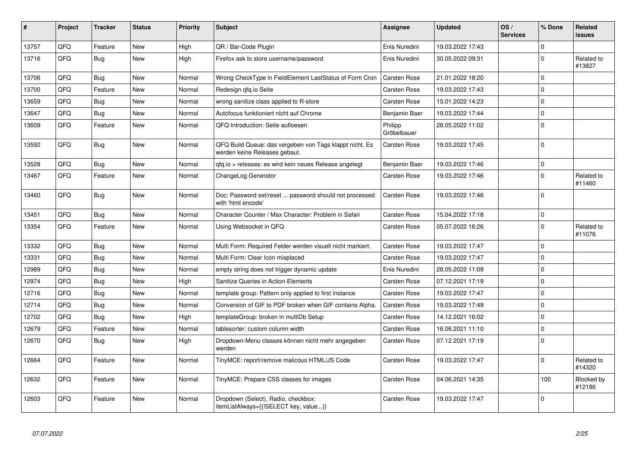| $\vert$ # | Project | <b>Tracker</b> | <b>Status</b> | <b>Priority</b> | <b>Subject</b>                                                                           | Assignee               | <b>Updated</b>   | OS/<br><b>Services</b> | % Done      | Related<br><b>issues</b> |
|-----------|---------|----------------|---------------|-----------------|------------------------------------------------------------------------------------------|------------------------|------------------|------------------------|-------------|--------------------------|
| 13757     | QFQ     | Feature        | <b>New</b>    | High            | QR / Bar-Code Plugin                                                                     | Enis Nuredini          | 19.03.2022 17:43 |                        | $\mathbf 0$ |                          |
| 13716     | QFQ     | <b>Bug</b>     | <b>New</b>    | High            | Firefox ask to store username/password                                                   | Enis Nuredini          | 30.05.2022 09:31 |                        | $\mathbf 0$ | Related to<br>#13827     |
| 13706     | QFQ     | <b>Bug</b>     | <b>New</b>    | Normal          | Wrong CheckType in FieldElement LastStatus of Form Cron                                  | Carsten Rose           | 21.01.2022 18:20 |                        | $\mathbf 0$ |                          |
| 13700     | QFQ     | Feature        | New           | Normal          | Redesign gfg.io Seite                                                                    | Carsten Rose           | 19.03.2022 17:43 |                        | $\mathbf 0$ |                          |
| 13659     | QFQ     | Bug            | <b>New</b>    | Normal          | wrong sanitize class applied to R-store                                                  | Carsten Rose           | 15.01.2022 14:23 |                        | $\mathbf 0$ |                          |
| 13647     | QFQ     | <b>Bug</b>     | <b>New</b>    | Normal          | Autofocus funktioniert nicht auf Chrome                                                  | Benjamin Baer          | 19.03.2022 17:44 |                        | $\mathbf 0$ |                          |
| 13609     | QFQ     | Feature        | New           | Normal          | QFQ Introduction: Seite aufloesen                                                        | Philipp<br>Gröbelbauer | 28.05.2022 11:02 |                        | $\mathbf 0$ |                          |
| 13592     | QFQ     | <b>Bug</b>     | New           | Normal          | QFQ Build Queue: das vergeben von Tags klappt nicht. Es<br>werden keine Releases gebaut. | Carsten Rose           | 19.03.2022 17:45 |                        | $\mathbf 0$ |                          |
| 13528     | QFQ     | <b>Bug</b>     | <b>New</b>    | Normal          | qfq.io > releases: es wird kein neues Release angelegt                                   | Benjamin Baer          | 19.03.2022 17:46 |                        | $\mathbf 0$ |                          |
| 13467     | QFQ     | Feature        | New           | Normal          | ChangeLog Generator                                                                      | Carsten Rose           | 19.03.2022 17:46 |                        | $\mathbf 0$ | Related to<br>#11460     |
| 13460     | QFQ     | Bug            | <b>New</b>    | Normal          | Doc: Password set/reset  password should not processed<br>with 'html encode'             | Carsten Rose           | 19.03.2022 17:46 |                        | $\mathbf 0$ |                          |
| 13451     | QFQ     | <b>Bug</b>     | <b>New</b>    | Normal          | Character Counter / Max Character: Problem in Safari                                     | Carsten Rose           | 15.04.2022 17:18 |                        | $\mathbf 0$ |                          |
| 13354     | QFQ     | Feature        | <b>New</b>    | Normal          | Using Websocket in QFQ                                                                   | Carsten Rose           | 05.07.2022 16:26 |                        | $\Omega$    | Related to<br>#11076     |
| 13332     | QFQ     | <b>Bug</b>     | <b>New</b>    | Normal          | Multi Form: Required Felder werden visuell nicht markiert.                               | Carsten Rose           | 19.03.2022 17:47 |                        | $\mathbf 0$ |                          |
| 13331     | QFQ     | <b>Bug</b>     | <b>New</b>    | Normal          | Multi Form: Clear Icon misplaced                                                         | Carsten Rose           | 19.03.2022 17:47 |                        | $\mathbf 0$ |                          |
| 12989     | QFQ     | <b>Bug</b>     | <b>New</b>    | Normal          | empty string does not trigger dynamic update                                             | Enis Nuredini          | 28.05.2022 11:09 |                        | $\mathbf 0$ |                          |
| 12974     | QFQ     | <b>Bug</b>     | <b>New</b>    | High            | Sanitize Queries in Action-Elements                                                      | Carsten Rose           | 07.12.2021 17:19 |                        | $\mathbf 0$ |                          |
| 12716     | QFQ     | <b>Bug</b>     | New           | Normal          | template group: Pattern only applied to first instance                                   | Carsten Rose           | 19.03.2022 17:47 |                        | $\mathbf 0$ |                          |
| 12714     | QFQ     | <b>Bug</b>     | <b>New</b>    | Normal          | Conversion of GIF to PDF broken when GIF contains Alpha.                                 | Carsten Rose           | 19.03.2022 17:49 |                        | $\mathbf 0$ |                          |
| 12702     | QFQ     | Bug            | <b>New</b>    | High            | templateGroup: broken in multiDb Setup                                                   | Carsten Rose           | 14.12.2021 16:02 |                        | $\mathbf 0$ |                          |
| 12679     | QFQ     | Feature        | New           | Normal          | tablesorter: custom column width                                                         | Carsten Rose           | 16.06.2021 11:10 |                        | $\pmb{0}$   |                          |
| 12670     | QFQ     | Bug            | New           | High            | Dropdown-Menu classes können nicht mehr angegeben<br>werden                              | Carsten Rose           | 07.12.2021 17:19 |                        | $\Omega$    |                          |
| 12664     | QFQ     | Feature        | <b>New</b>    | Normal          | TinyMCE: report/remove malicous HTML/JS Code                                             | Carsten Rose           | 19.03.2022 17:47 |                        | $\mathbf 0$ | Related to<br>#14320     |
| 12632     | QFQ     | Feature        | <b>New</b>    | Normal          | TinyMCE: Prepare CSS classes for images                                                  | Carsten Rose           | 04.06.2021 14:35 |                        | 100         | Blocked by<br>#12186     |
| 12603     | QFQ     | Feature        | <b>New</b>    | Normal          | Dropdown (Select), Radio, checkbox:<br>itemListAlways={{!SELECT key, value}}             | Carsten Rose           | 19.03.2022 17:47 |                        | $\Omega$    |                          |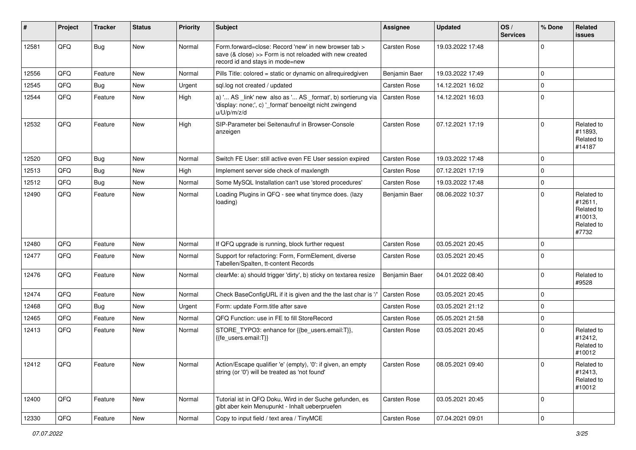| $\vert$ # | Project | <b>Tracker</b> | <b>Status</b> | <b>Priority</b> | <b>Subject</b>                                                                                                                                      | <b>Assignee</b> | <b>Updated</b>   | OS/<br><b>Services</b> | % Done         | <b>Related</b><br>issues                                              |
|-----------|---------|----------------|---------------|-----------------|-----------------------------------------------------------------------------------------------------------------------------------------------------|-----------------|------------------|------------------------|----------------|-----------------------------------------------------------------------|
| 12581     | QFQ     | <b>Bug</b>     | New           | Normal          | Form.forward=close: Record 'new' in new browser tab ><br>save (& close) >> Form is not reloaded with new created<br>record id and stays in mode=new | Carsten Rose    | 19.03.2022 17:48 |                        | $\Omega$       |                                                                       |
| 12556     | QFQ     | Feature        | <b>New</b>    | Normal          | Pills Title: colored = static or dynamic on allrequiredgiven                                                                                        | Benjamin Baer   | 19.03.2022 17:49 |                        | $\mathbf 0$    |                                                                       |
| 12545     | QFQ     | <b>Bug</b>     | <b>New</b>    | Urgent          | sql.log not created / updated                                                                                                                       | Carsten Rose    | 14.12.2021 16:02 |                        | $\Omega$       |                                                                       |
| 12544     | QFQ     | Feature        | <b>New</b>    | High            | a) ' AS _link' new also as ' AS _format', b) sortierung via<br>'display: none;', c) ' format' benoeitgt nicht zwingend<br>u/U/p/m/z/d               | Carsten Rose    | 14.12.2021 16:03 |                        | $\Omega$       |                                                                       |
| 12532     | QFQ     | Feature        | <b>New</b>    | High            | SIP-Parameter bei Seitenaufruf in Browser-Console<br>anzeigen                                                                                       | Carsten Rose    | 07.12.2021 17:19 |                        | $\Omega$       | Related to<br>#11893,<br>Related to<br>#14187                         |
| 12520     | QFQ     | <b>Bug</b>     | <b>New</b>    | Normal          | Switch FE User: still active even FE User session expired                                                                                           | Carsten Rose    | 19.03.2022 17:48 |                        | $\Omega$       |                                                                       |
| 12513     | QFQ     | <b>Bug</b>     | <b>New</b>    | High            | Implement server side check of maxlength                                                                                                            | Carsten Rose    | 07.12.2021 17:19 |                        | $\Omega$       |                                                                       |
| 12512     | QFQ     | <b>Bug</b>     | <b>New</b>    | Normal          | Some MySQL Installation can't use 'stored procedures'                                                                                               | Carsten Rose    | 19.03.2022 17:48 |                        | $\mathbf 0$    |                                                                       |
| 12490     | QFQ     | Feature        | <b>New</b>    | Normal          | Loading Plugins in QFQ - see what tinymce does. (lazy<br>loading)                                                                                   | Benjamin Baer   | 08.06.2022 10:37 |                        | $\mathbf 0$    | Related to<br>#12611,<br>Related to<br>#10013.<br>Related to<br>#7732 |
| 12480     | QFQ     | Feature        | <b>New</b>    | Normal          | If QFQ upgrade is running, block further request                                                                                                    | Carsten Rose    | 03.05.2021 20:45 |                        | $\Omega$       |                                                                       |
| 12477     | QFQ     | Feature        | <b>New</b>    | Normal          | Support for refactoring: Form, FormElement, diverse<br>Tabellen/Spalten, tt-content Records                                                         | Carsten Rose    | 03.05.2021 20:45 |                        | $\mathbf 0$    |                                                                       |
| 12476     | QFQ     | Feature        | <b>New</b>    | Normal          | clearMe: a) should trigger 'dirty', b) sticky on textarea resize                                                                                    | Benjamin Baer   | 04.01.2022 08:40 |                        | $\mathbf 0$    | Related to<br>#9528                                                   |
| 12474     | QFQ     | Feature        | New           | Normal          | Check BaseConfigURL if it is given and the the last char is '/'                                                                                     | Carsten Rose    | 03.05.2021 20:45 |                        | $\mathbf 0$    |                                                                       |
| 12468     | QFQ     | <b>Bug</b>     | <b>New</b>    | Urgent          | Form: update Form.title after save                                                                                                                  | Carsten Rose    | 03.05.2021 21:12 |                        | $\mathbf 0$    |                                                                       |
| 12465     | QFQ     | Feature        | New           | Normal          | QFQ Function: use in FE to fill StoreRecord                                                                                                         | Carsten Rose    | 05.05.2021 21:58 |                        | $\mathbf 0$    |                                                                       |
| 12413     | QFQ     | Feature        | <b>New</b>    | Normal          | STORE_TYPO3: enhance for {{be_users.email:T}},<br>{{fe_users.email:T}}                                                                              | Carsten Rose    | 03.05.2021 20:45 |                        | $\Omega$       | Related to<br>#12412,<br>Related to<br>#10012                         |
| 12412     | QFQ     | Feature        | New           | Normal          | Action/Escape qualifier 'e' (empty), '0': if given, an empty<br>string (or '0') will be treated as 'not found'                                      | Carsten Rose    | 08.05.2021 09:40 |                        | $\overline{0}$ | Related to<br>#12413,<br>Related to<br>#10012                         |
| 12400     | QFQ     | Feature        | New           | Normal          | Tutorial ist in QFQ Doku, Wird in der Suche gefunden, es<br>gibt aber kein Menupunkt - Inhalt ueberpruefen                                          | Carsten Rose    | 03.05.2021 20:45 |                        | $\mathbf 0$    |                                                                       |
| 12330     | QFG     | Feature        | New           | Normal          | Copy to input field / text area / TinyMCE                                                                                                           | Carsten Rose    | 07.04.2021 09:01 |                        | $\mathbf 0$    |                                                                       |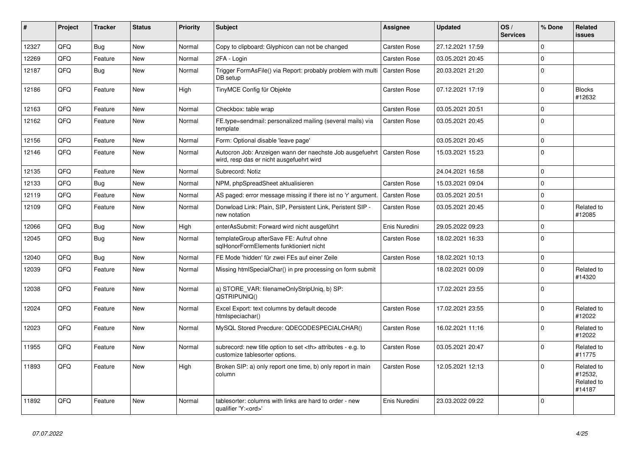| #     | Project | <b>Tracker</b> | <b>Status</b> | Priority | <b>Subject</b>                                                                                       | <b>Assignee</b>                                        | <b>Updated</b>   | OS/<br><b>Services</b> | % Done   | Related<br><b>issues</b>                      |                      |
|-------|---------|----------------|---------------|----------|------------------------------------------------------------------------------------------------------|--------------------------------------------------------|------------------|------------------------|----------|-----------------------------------------------|----------------------|
| 12327 | QFQ     | <b>Bug</b>     | <b>New</b>    | Normal   | Copy to clipboard: Glyphicon can not be changed                                                      | <b>Carsten Rose</b>                                    | 27.12.2021 17:59 |                        | $\Omega$ |                                               |                      |
| 12269 | QFQ     | Feature        | <b>New</b>    | Normal   | 2FA - Login                                                                                          | Carsten Rose                                           | 03.05.2021 20:45 |                        | $\Omega$ |                                               |                      |
| 12187 | QFQ     | <b>Bug</b>     | New           | Normal   | Trigger FormAsFile() via Report: probably problem with multi<br>DB setup                             | Carsten Rose                                           | 20.03.2021 21:20 |                        | $\Omega$ |                                               |                      |
| 12186 | QFQ     | Feature        | <b>New</b>    | High     | TinyMCE Config für Objekte                                                                           | Carsten Rose                                           | 07.12.2021 17:19 |                        | $\Omega$ | <b>Blocks</b><br>#12632                       |                      |
| 12163 | QFQ     | Feature        | <b>New</b>    | Normal   | Checkbox: table wrap                                                                                 | Carsten Rose                                           | 03.05.2021 20:51 |                        | $\Omega$ |                                               |                      |
| 12162 | QFQ     | Feature        | <b>New</b>    | Normal   | FE.type=sendmail: personalized mailing (several mails) via<br>template                               | Carsten Rose                                           | 03.05.2021 20:45 |                        | $\Omega$ |                                               |                      |
| 12156 | QFQ     | Feature        | <b>New</b>    | Normal   | Form: Optional disable 'leave page'                                                                  |                                                        | 03.05.2021 20:45 |                        | $\Omega$ |                                               |                      |
| 12146 | QFQ     | Feature        | <b>New</b>    | Normal   | Autocron Job: Anzeigen wann der naechste Job ausgefuehrt<br>wird, resp das er nicht ausgefuehrt wird | <b>Carsten Rose</b>                                    | 15.03.2021 15:23 |                        | $\Omega$ |                                               |                      |
| 12135 | QFQ     | Feature        | <b>New</b>    | Normal   | Subrecord: Notiz                                                                                     |                                                        | 24.04.2021 16:58 |                        | $\Omega$ |                                               |                      |
| 12133 | QFQ     | Bug            | <b>New</b>    | Normal   | NPM, phpSpreadSheet aktualisieren                                                                    | <b>Carsten Rose</b>                                    | 15.03.2021 09:04 |                        | $\Omega$ |                                               |                      |
| 12119 | QFQ     | Feature        | <b>New</b>    | Normal   | AS paged: error message missing if there ist no 'r' argument.                                        | Carsten Rose                                           | 03.05.2021 20:51 |                        | $\Omega$ |                                               |                      |
| 12109 | QFQ     | Feature        | New           | Normal   | Donwload Link: Plain, SIP, Persistent Link, Peristent SIP -<br>new notation                          | <b>Carsten Rose</b>                                    | 03.05.2021 20:45 |                        | $\Omega$ | Related to<br>#12085                          |                      |
| 12066 | QFQ     | Bug            | <b>New</b>    | High     | enterAsSubmit: Forward wird nicht ausgeführt                                                         | Enis Nuredini                                          | 29.05.2022 09:23 |                        | $\Omega$ |                                               |                      |
| 12045 | QFQ     | Bug            | <b>New</b>    | Normal   | templateGroup afterSave FE: Aufruf ohne<br>sglHonorFormElements funktioniert nicht                   | Carsten Rose                                           | 18.02.2021 16:33 |                        | $\Omega$ |                                               |                      |
| 12040 | QFQ     | <b>Bug</b>     | <b>New</b>    | Normal   | FE Mode 'hidden' für zwei FEs auf einer Zeile                                                        | Carsten Rose                                           | 18.02.2021 10:13 |                        | $\Omega$ |                                               |                      |
| 12039 | QFQ     | Feature        | <b>New</b>    | Normal   | Missing htmlSpecialChar() in pre processing on form submit                                           |                                                        | 18.02.2021 00:09 |                        | $\Omega$ | Related to<br>#14320                          |                      |
| 12038 | QFQ     | Feature        | <b>New</b>    | Normal   | a) STORE_VAR: filenameOnlyStripUniq, b) SP:<br>QSTRIPUNIQ()                                          |                                                        | 17.02.2021 23:55 |                        | $\Omega$ |                                               |                      |
| 12024 | QFQ     | Feature        | <b>New</b>    | Normal   | Excel Export: text columns by default decode<br>htmlspeciachar()                                     | Carsten Rose                                           | 17.02.2021 23:55 |                        | $\Omega$ | Related to<br>#12022                          |                      |
| 12023 | QFQ     | Feature        | <b>New</b>    | Normal   | MySQL Stored Precdure: QDECODESPECIALCHAR()                                                          | Carsten Rose                                           | 16.02.2021 11:16 |                        | $\Omega$ | Related to<br>#12022                          |                      |
| 11955 | QFQ     | Feature        | New           | Normal   | subrecord: new title option to set <th> attributes - e.g. to<br/>customize tablesorter options.</th> | attributes - e.g. to<br>customize tablesorter options. | Carsten Rose     | 03.05.2021 20:47       |          | $\Omega$                                      | Related to<br>#11775 |
| 11893 | QFQ     | Feature        | New           | High     | Broken SIP: a) only report one time, b) only report in main<br>column                                | Carsten Rose                                           | 12.05.2021 12:13 |                        | $\Omega$ | Related to<br>#12532,<br>Related to<br>#14187 |                      |
| 11892 | QFQ     | Feature        | New           | Normal   | tablesorter: columns with links are hard to order - new<br>qualifier 'Y: <ord>'</ord>                | Enis Nuredini                                          | 23.03.2022 09:22 |                        | $\Omega$ |                                               |                      |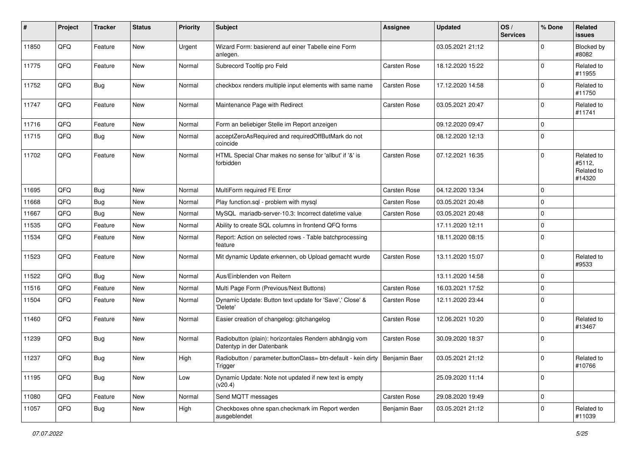| #     | Project | <b>Tracker</b> | <b>Status</b> | <b>Priority</b> | <b>Subject</b>                                                                      | <b>Assignee</b> | <b>Updated</b>   | OS/<br><b>Services</b> | % Done      | Related<br>issues                            |
|-------|---------|----------------|---------------|-----------------|-------------------------------------------------------------------------------------|-----------------|------------------|------------------------|-------------|----------------------------------------------|
| 11850 | QFQ     | Feature        | <b>New</b>    | Urgent          | Wizard Form: basierend auf einer Tabelle eine Form<br>anlegen.                      |                 | 03.05.2021 21:12 |                        | 0           | <b>Blocked by</b><br>#8082                   |
| 11775 | QFQ     | Feature        | <b>New</b>    | Normal          | Subrecord Tooltip pro Feld                                                          | Carsten Rose    | 18.12.2020 15:22 |                        | $\mathbf 0$ | Related to<br>#11955                         |
| 11752 | QFQ     | <b>Bug</b>     | <b>New</b>    | Normal          | checkbox renders multiple input elements with same name                             | Carsten Rose    | 17.12.2020 14:58 |                        | 0           | Related to<br>#11750                         |
| 11747 | QFQ     | Feature        | <b>New</b>    | Normal          | Maintenance Page with Redirect                                                      | Carsten Rose    | 03.05.2021 20:47 |                        | $\mathbf 0$ | Related to<br>#11741                         |
| 11716 | QFQ     | Feature        | New           | Normal          | Form an beliebiger Stelle im Report anzeigen                                        |                 | 09.12.2020 09:47 |                        | $\mathbf 0$ |                                              |
| 11715 | QFQ     | <b>Bug</b>     | <b>New</b>    | Normal          | acceptZeroAsRequired and requiredOffButMark do not<br>coincide                      |                 | 08.12.2020 12:13 |                        | $\mathbf 0$ |                                              |
| 11702 | QFQ     | Feature        | <b>New</b>    | Normal          | HTML Special Char makes no sense for 'allbut' if '&' is<br>forbidden                | Carsten Rose    | 07.12.2021 16:35 |                        | $\mathbf 0$ | Related to<br>#5112,<br>Related to<br>#14320 |
| 11695 | QFQ     | Bug            | New           | Normal          | MultiForm required FE Error                                                         | Carsten Rose    | 04.12.2020 13:34 |                        | $\mathbf 0$ |                                              |
| 11668 | QFQ     | <b>Bug</b>     | <b>New</b>    | Normal          | Play function.sql - problem with mysql                                              | Carsten Rose    | 03.05.2021 20:48 |                        | $\mathbf 0$ |                                              |
| 11667 | QFQ     | <b>Bug</b>     | <b>New</b>    | Normal          | MySQL mariadb-server-10.3: Incorrect datetime value                                 | Carsten Rose    | 03.05.2021 20:48 |                        | $\mathbf 0$ |                                              |
| 11535 | QFQ     | Feature        | <b>New</b>    | Normal          | Ability to create SQL columns in frontend QFQ forms                                 |                 | 17.11.2020 12:11 |                        | 0           |                                              |
| 11534 | QFQ     | Feature        | New           | Normal          | Report: Action on selected rows - Table batchprocessing<br>feature                  |                 | 18.11.2020 08:15 |                        | $\mathbf 0$ |                                              |
| 11523 | QFQ     | Feature        | New           | Normal          | Mit dynamic Update erkennen, ob Upload gemacht wurde                                | Carsten Rose    | 13.11.2020 15:07 |                        | $\mathbf 0$ | Related to<br>#9533                          |
| 11522 | QFQ     | <b>Bug</b>     | <b>New</b>    | Normal          | Aus/Einblenden von Reitern                                                          |                 | 13.11.2020 14:58 |                        | 0           |                                              |
| 11516 | QFQ     | Feature        | <b>New</b>    | Normal          | Multi Page Form (Previous/Next Buttons)                                             | Carsten Rose    | 16.03.2021 17:52 |                        | $\mathbf 0$ |                                              |
| 11504 | QFQ     | Feature        | New           | Normal          | Dynamic Update: Button text update for 'Save',' Close' &<br>'Delete'                | Carsten Rose    | 12.11.2020 23:44 |                        | $\mathbf 0$ |                                              |
| 11460 | QFQ     | Feature        | <b>New</b>    | Normal          | Easier creation of changelog: gitchangelog                                          | Carsten Rose    | 12.06.2021 10:20 |                        | $\mathbf 0$ | Related to<br>#13467                         |
| 11239 | QFQ     | Bug            | <b>New</b>    | Normal          | Radiobutton (plain): horizontales Rendern abhängig vom<br>Datentyp in der Datenbank | Carsten Rose    | 30.09.2020 18:37 |                        | $\mathbf 0$ |                                              |
| 11237 | QFQ     | <b>Bug</b>     | New           | High            | Radiobutton / parameter.buttonClass= btn-default - kein dirty<br>Trigger            | Benjamin Baer   | 03.05.2021 21:12 |                        | $\pmb{0}$   | Related to<br>#10766                         |
| 11195 | QFQ     | <b>Bug</b>     | New           | Low             | Dynamic Update: Note not updated if new text is empty<br>(v20.4)                    |                 | 25.09.2020 11:14 |                        | $\pmb{0}$   |                                              |
| 11080 | QFQ     | Feature        | New           | Normal          | Send MQTT messages                                                                  | Carsten Rose    | 29.08.2020 19:49 |                        | $\pmb{0}$   |                                              |
| 11057 | QFQ     | <b>Bug</b>     | New           | High            | Checkboxes ohne span.checkmark im Report werden<br>ausgeblendet                     | Benjamin Baer   | 03.05.2021 21:12 |                        | $\pmb{0}$   | Related to<br>#11039                         |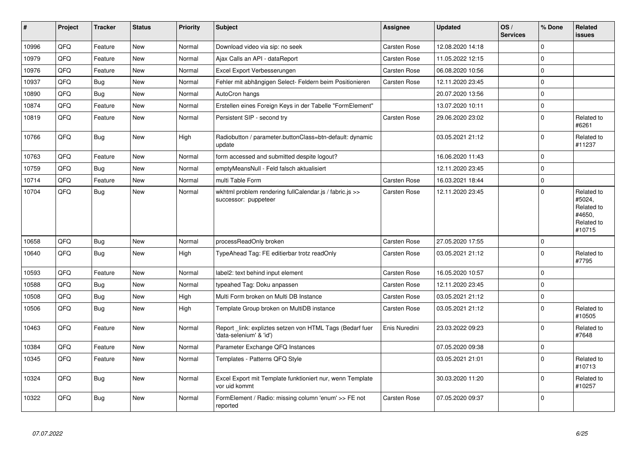| $\pmb{\#}$ | Project | <b>Tracker</b> | <b>Status</b> | <b>Priority</b> | <b>Subject</b>                                                                      | <b>Assignee</b>     | <b>Updated</b>   | OS/<br><b>Services</b> | % Done   | Related<br><b>issues</b>                                             |
|------------|---------|----------------|---------------|-----------------|-------------------------------------------------------------------------------------|---------------------|------------------|------------------------|----------|----------------------------------------------------------------------|
| 10996      | QFQ     | Feature        | <b>New</b>    | Normal          | Download video via sip: no seek                                                     | Carsten Rose        | 12.08.2020 14:18 |                        | $\Omega$ |                                                                      |
| 10979      | QFQ     | Feature        | New           | Normal          | Ajax Calls an API - dataReport                                                      | Carsten Rose        | 11.05.2022 12:15 |                        | $\Omega$ |                                                                      |
| 10976      | QFQ     | Feature        | <b>New</b>    | Normal          | Excel Export Verbesserungen                                                         | <b>Carsten Rose</b> | 06.08.2020 10:56 |                        | 0        |                                                                      |
| 10937      | QFQ     | <b>Bug</b>     | <b>New</b>    | Normal          | Fehler mit abhängigen Select- Feldern beim Positionieren                            | Carsten Rose        | 12.11.2020 23:45 |                        | 0        |                                                                      |
| 10890      | QFQ     | <b>Bug</b>     | <b>New</b>    | Normal          | AutoCron hangs                                                                      |                     | 20.07.2020 13:56 |                        | 0        |                                                                      |
| 10874      | QFQ     | Feature        | New           | Normal          | Erstellen eines Foreign Keys in der Tabelle "FormElement"                           |                     | 13.07.2020 10:11 |                        | 0        |                                                                      |
| 10819      | QFQ     | Feature        | <b>New</b>    | Normal          | Persistent SIP - second try                                                         | Carsten Rose        | 29.06.2020 23:02 |                        | 0        | Related to<br>#6261                                                  |
| 10766      | QFQ     | <b>Bug</b>     | New           | High            | Radiobutton / parameter.buttonClass=btn-default: dynamic<br>update                  |                     | 03.05.2021 21:12 |                        | 0        | Related to<br>#11237                                                 |
| 10763      | QFQ     | Feature        | New           | Normal          | form accessed and submitted despite logout?                                         |                     | 16.06.2020 11:43 |                        | $\Omega$ |                                                                      |
| 10759      | QFQ     | Bug            | New           | Normal          | emptyMeansNull - Feld falsch aktualisiert                                           |                     | 12.11.2020 23:45 |                        | 0        |                                                                      |
| 10714      | QFQ     | Feature        | <b>New</b>    | Normal          | multi Table Form                                                                    | Carsten Rose        | 16.03.2021 18:44 |                        | 0        |                                                                      |
| 10704      | QFQ     | <b>Bug</b>     | <b>New</b>    | Normal          | wkhtml problem rendering fullCalendar.js / fabric.js >><br>successor: puppeteer     | Carsten Rose        | 12.11.2020 23:45 |                        | 0        | Related to<br>#5024,<br>Related to<br>#4650,<br>Related to<br>#10715 |
| 10658      | QFQ     | <b>Bug</b>     | New           | Normal          | processReadOnly broken                                                              | <b>Carsten Rose</b> | 27.05.2020 17:55 |                        | 0        |                                                                      |
| 10640      | QFQ     | Bug            | <b>New</b>    | High            | TypeAhead Tag: FE editierbar trotz readOnly                                         | <b>Carsten Rose</b> | 03.05.2021 21:12 |                        | 0        | Related to<br>#7795                                                  |
| 10593      | QFQ     | Feature        | <b>New</b>    | Normal          | label2: text behind input element                                                   | Carsten Rose        | 16.05.2020 10:57 |                        | 0        |                                                                      |
| 10588      | QFQ     | <b>Bug</b>     | <b>New</b>    | Normal          | typeahed Tag: Doku anpassen                                                         | <b>Carsten Rose</b> | 12.11.2020 23:45 |                        | 0        |                                                                      |
| 10508      | QFQ     | <b>Bug</b>     | <b>New</b>    | High            | Multi Form broken on Multi DB Instance                                              | <b>Carsten Rose</b> | 03.05.2021 21:12 |                        | 0        |                                                                      |
| 10506      | QFQ     | Bug            | New           | High            | Template Group broken on MultiDB instance                                           | Carsten Rose        | 03.05.2021 21:12 |                        | 0        | Related to<br>#10505                                                 |
| 10463      | QFQ     | Feature        | New           | Normal          | Report link: expliztes setzen von HTML Tags (Bedarf fuer<br>'data-selenium' & 'id') | Enis Nuredini       | 23.03.2022 09:23 |                        | 0        | Related to<br>#7648                                                  |
| 10384      | QFQ     | Feature        | New           | Normal          | Parameter Exchange QFQ Instances                                                    |                     | 07.05.2020 09:38 |                        | 0        |                                                                      |
| 10345      | QFQ     | Feature        | New           | Normal          | Templates - Patterns QFQ Style                                                      |                     | 03.05.2021 21:01 |                        | $\Omega$ | Related to<br>#10713                                                 |
| 10324      | QFQ     | <b>Bug</b>     | New           | Normal          | Excel Export mit Template funktioniert nur, wenn Template<br>vor uid kommt          |                     | 30.03.2020 11:20 |                        | 0        | Related to<br>#10257                                                 |
| 10322      | QFQ     | <b>Bug</b>     | <b>New</b>    | Normal          | FormElement / Radio: missing column 'enum' >> FE not<br>reported                    | <b>Carsten Rose</b> | 07.05.2020 09:37 |                        | 0        |                                                                      |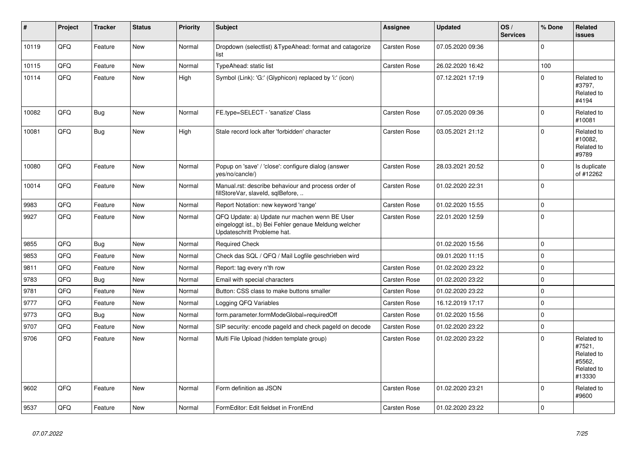| #     | Project | <b>Tracker</b> | <b>Status</b> | <b>Priority</b> | <b>Subject</b>                                                                                                                        | <b>Assignee</b>     | <b>Updated</b>   | OS/<br><b>Services</b> | % Done       | Related<br><b>issues</b>                                             |
|-------|---------|----------------|---------------|-----------------|---------------------------------------------------------------------------------------------------------------------------------------|---------------------|------------------|------------------------|--------------|----------------------------------------------------------------------|
| 10119 | QFQ     | Feature        | <b>New</b>    | Normal          | Dropdown (selectlist) & Type Ahead: format and catagorize<br>list                                                                     | Carsten Rose        | 07.05.2020 09:36 |                        | $\Omega$     |                                                                      |
| 10115 | QFQ     | Feature        | <b>New</b>    | Normal          | <b>TypeAhead: static list</b>                                                                                                         | Carsten Rose        | 26.02.2020 16:42 |                        | 100          |                                                                      |
| 10114 | QFQ     | Feature        | <b>New</b>    | High            | Symbol (Link): 'G:' (Glyphicon) replaced by 'i:' (icon)                                                                               |                     | 07.12.2021 17:19 |                        | $\mathbf 0$  | Related to<br>#3797,<br>Related to<br>#4194                          |
| 10082 | QFQ     | <b>Bug</b>     | <b>New</b>    | Normal          | FE.type=SELECT - 'sanatize' Class                                                                                                     | Carsten Rose        | 07.05.2020 09:36 |                        | $\mathbf 0$  | Related to<br>#10081                                                 |
| 10081 | QFQ     | Bug            | <b>New</b>    | High            | Stale record lock after 'forbidden' character                                                                                         | Carsten Rose        | 03.05.2021 21:12 |                        | $\Omega$     | Related to<br>#10082,<br>Related to<br>#9789                         |
| 10080 | QFQ     | Feature        | <b>New</b>    | Normal          | Popup on 'save' / 'close': configure dialog (answer<br>yes/no/cancle/)                                                                | Carsten Rose        | 28.03.2021 20:52 |                        | $\mathbf 0$  | Is duplicate<br>of #12262                                            |
| 10014 | QFQ     | Feature        | <b>New</b>    | Normal          | Manual.rst: describe behaviour and process order of<br>fillStoreVar, slaveId, sqlBefore,                                              | Carsten Rose        | 01.02.2020 22:31 |                        | $\pmb{0}$    |                                                                      |
| 9983  | QFQ     | Feature        | <b>New</b>    | Normal          | Report Notation: new keyword 'range'                                                                                                  | Carsten Rose        | 01.02.2020 15:55 |                        | $\mathbf{0}$ |                                                                      |
| 9927  | QFQ     | Feature        | <b>New</b>    | Normal          | QFQ Update: a) Update nur machen wenn BE User<br>eingeloggt ist., b) Bei Fehler genaue Meldung welcher<br>Updateschritt Probleme hat. | Carsten Rose        | 22.01.2020 12:59 |                        | $\pmb{0}$    |                                                                      |
| 9855  | QFQ     | Bug            | <b>New</b>    | Normal          | <b>Required Check</b>                                                                                                                 |                     | 01.02.2020 15:56 |                        | 0            |                                                                      |
| 9853  | QFQ     | Feature        | <b>New</b>    | Normal          | Check das SQL / QFQ / Mail Logfile geschrieben wird                                                                                   |                     | 09.01.2020 11:15 |                        | $\pmb{0}$    |                                                                      |
| 9811  | QFQ     | Feature        | <b>New</b>    | Normal          | Report: tag every n'th row                                                                                                            | Carsten Rose        | 01.02.2020 23:22 |                        | $\pmb{0}$    |                                                                      |
| 9783  | QFQ     | Bug            | <b>New</b>    | Normal          | Email with special characters                                                                                                         | Carsten Rose        | 01.02.2020 23:22 |                        | $\pmb{0}$    |                                                                      |
| 9781  | QFQ     | Feature        | <b>New</b>    | Normal          | Button: CSS class to make buttons smaller                                                                                             | <b>Carsten Rose</b> | 01.02.2020 23:22 |                        | 0            |                                                                      |
| 9777  | QFQ     | Feature        | <b>New</b>    | Normal          | Logging QFQ Variables                                                                                                                 | Carsten Rose        | 16.12.2019 17:17 |                        | $\pmb{0}$    |                                                                      |
| 9773  | QFQ     | Bug            | <b>New</b>    | Normal          | form.parameter.formModeGlobal=requiredOff                                                                                             | Carsten Rose        | 01.02.2020 15:56 |                        | $\pmb{0}$    |                                                                      |
| 9707  | QFQ     | Feature        | <b>New</b>    | Normal          | SIP security: encode pageld and check pageld on decode                                                                                | Carsten Rose        | 01.02.2020 23:22 |                        | $\mathbf 0$  |                                                                      |
| 9706  | QFQ     | Feature        | <b>New</b>    | Normal          | Multi File Upload (hidden template group)                                                                                             | Carsten Rose        | 01.02.2020 23:22 |                        | $\Omega$     | Related to<br>#7521,<br>Related to<br>#5562,<br>Related to<br>#13330 |
| 9602  | QFQ     | Feature        | <b>New</b>    | Normal          | Form definition as JSON                                                                                                               | Carsten Rose        | 01.02.2020 23:21 |                        | $\Omega$     | Related to<br>#9600                                                  |
| 9537  | QFQ     | Feature        | New           | Normal          | FormEditor: Edit fieldset in FrontEnd                                                                                                 | Carsten Rose        | 01.02.2020 23:22 |                        | $\mathbf 0$  |                                                                      |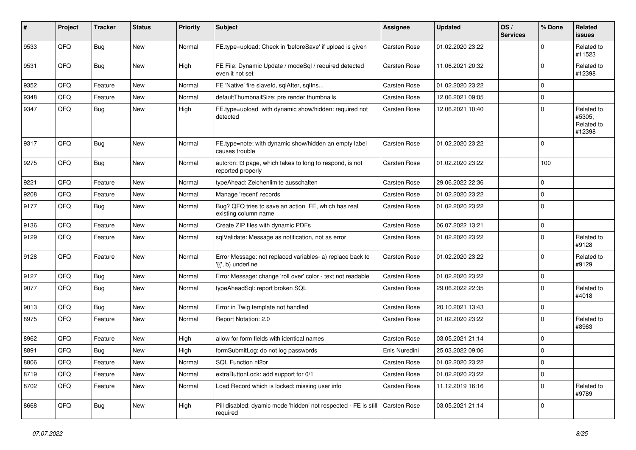| #    | Project | <b>Tracker</b> | <b>Status</b> | <b>Priority</b> | <b>Subject</b>                                                                  | <b>Assignee</b> | <b>Updated</b>   | OS/<br><b>Services</b> | % Done         | <b>Related</b><br>issues                     |
|------|---------|----------------|---------------|-----------------|---------------------------------------------------------------------------------|-----------------|------------------|------------------------|----------------|----------------------------------------------|
| 9533 | QFQ     | <b>Bug</b>     | <b>New</b>    | Normal          | FE.type=upload: Check in 'beforeSave' if upload is given                        | Carsten Rose    | 01.02.2020 23:22 |                        | $\Omega$       | Related to<br>#11523                         |
| 9531 | QFQ     | <b>Bug</b>     | New           | High            | FE File: Dynamic Update / modeSql / required detected<br>even it not set        | Carsten Rose    | 11.06.2021 20:32 |                        | $\mathbf 0$    | Related to<br>#12398                         |
| 9352 | QFQ     | Feature        | <b>New</b>    | Normal          | FE 'Native' fire slaveld, sqlAfter, sqlIns                                      | Carsten Rose    | 01.02.2020 23:22 |                        | $\mathbf 0$    |                                              |
| 9348 | QFQ     | Feature        | New           | Normal          | defaultThumbnailSize: pre render thumbnails                                     | Carsten Rose    | 12.06.2021 09:05 |                        | $\mathbf 0$    |                                              |
| 9347 | QFQ     | <b>Bug</b>     | <b>New</b>    | High            | FE.type=upload with dynamic show/hidden: required not<br>detected               | Carsten Rose    | 12.06.2021 10:40 |                        | $\mathbf 0$    | Related to<br>#5305,<br>Related to<br>#12398 |
| 9317 | QFQ     | <b>Bug</b>     | <b>New</b>    | Normal          | FE.type=note: with dynamic show/hidden an empty label<br>causes trouble         | Carsten Rose    | 01.02.2020 23:22 |                        | $\Omega$       |                                              |
| 9275 | QFQ     | <b>Bug</b>     | New           | Normal          | autcron: t3 page, which takes to long to respond, is not<br>reported properly   | Carsten Rose    | 01.02.2020 23:22 |                        | 100            |                                              |
| 9221 | QFQ     | Feature        | <b>New</b>    | Normal          | typeAhead: Zeichenlimite ausschalten                                            | Carsten Rose    | 29.06.2022 22:36 |                        | $\mathbf 0$    |                                              |
| 9208 | QFQ     | Feature        | <b>New</b>    | Normal          | Manage 'recent' records                                                         | Carsten Rose    | 01.02.2020 23:22 |                        | $\mathbf 0$    |                                              |
| 9177 | QFQ     | <b>Bug</b>     | New           | Normal          | Bug? QFQ tries to save an action FE, which has real<br>existing column name     | Carsten Rose    | 01.02.2020 23:22 |                        | $\Omega$       |                                              |
| 9136 | QFQ     | Feature        | New           | Normal          | Create ZIP files with dynamic PDFs                                              | Carsten Rose    | 06.07.2022 13:21 |                        | $\mathbf 0$    |                                              |
| 9129 | QFQ     | Feature        | <b>New</b>    | Normal          | sqlValidate: Message as notification, not as error                              | Carsten Rose    | 01.02.2020 23:22 |                        | $\mathbf 0$    | Related to<br>#9128                          |
| 9128 | QFQ     | Feature        | <b>New</b>    | Normal          | Error Message: not replaced variables- a) replace back to<br>'{{', b) underline | Carsten Rose    | 01.02.2020 23:22 |                        | $\mathbf 0$    | Related to<br>#9129                          |
| 9127 | QFQ     | <b>Bug</b>     | New           | Normal          | Error Message: change 'roll over' color - text not readable                     | Carsten Rose    | 01.02.2020 23:22 |                        | $\mathbf 0$    |                                              |
| 9077 | QFQ     | <b>Bug</b>     | New           | Normal          | typeAheadSql: report broken SQL                                                 | Carsten Rose    | 29.06.2022 22:35 |                        | $\Omega$       | Related to<br>#4018                          |
| 9013 | QFQ     | <b>Bug</b>     | <b>New</b>    | Normal          | Error in Twig template not handled                                              | Carsten Rose    | 20.10.2021 13:43 |                        | $\mathbf 0$    |                                              |
| 8975 | QFQ     | Feature        | New           | Normal          | Report Notation: 2.0                                                            | Carsten Rose    | 01.02.2020 23:22 |                        | $\Omega$       | Related to<br>#8963                          |
| 8962 | QFQ     | Feature        | <b>New</b>    | High            | allow for form fields with identical names                                      | Carsten Rose    | 03.05.2021 21:14 |                        | $\mathbf 0$    |                                              |
| 8891 | QFQ     | Bug            | <b>New</b>    | High            | formSubmitLog: do not log passwords                                             | Enis Nuredini   | 25.03.2022 09:06 |                        | $\mathbf 0$    |                                              |
| 8806 | QFQ     | Feature        | New           | Normal          | SQL Function nl2br                                                              | Carsten Rose    | 01.02.2020 23:22 |                        | $\overline{0}$ |                                              |
| 8719 | QFQ     | Feature        | New           | Normal          | extraButtonLock: add support for 0/1                                            | Carsten Rose    | 01.02.2020 23:22 |                        | $\mathbf 0$    |                                              |
| 8702 | QFQ     | Feature        | New           | Normal          | Load Record which is locked: missing user info                                  | Carsten Rose    | 11.12.2019 16:16 |                        | 0              | Related to<br>#9789                          |
| 8668 | QFQ     | Bug            | New           | High            | Pill disabled: dyamic mode 'hidden' not respected - FE is still<br>required     | Carsten Rose    | 03.05.2021 21:14 |                        | 0              |                                              |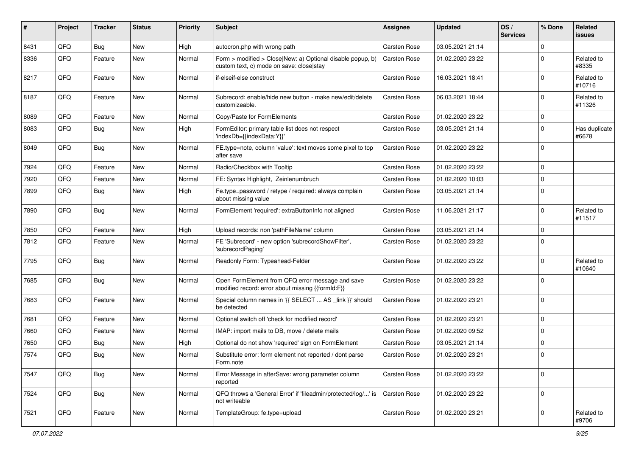| ∦    | Project | <b>Tracker</b> | <b>Status</b> | <b>Priority</b> | <b>Subject</b>                                                                                         | <b>Assignee</b> | <b>Updated</b>   | OS/<br><b>Services</b> | % Done      | <b>Related</b><br>issues |
|------|---------|----------------|---------------|-----------------|--------------------------------------------------------------------------------------------------------|-----------------|------------------|------------------------|-------------|--------------------------|
| 8431 | QFQ     | <b>Bug</b>     | New           | High            | autocron.php with wrong path                                                                           | Carsten Rose    | 03.05.2021 21:14 |                        | $\mathbf 0$ |                          |
| 8336 | QFQ     | Feature        | <b>New</b>    | Normal          | Form > modified > Close New: a) Optional disable popup, b)<br>custom text, c) mode on save: close stay | Carsten Rose    | 01.02.2020 23:22 |                        | $\mathbf 0$ | Related to<br>#8335      |
| 8217 | QFQ     | Feature        | New           | Normal          | if-elseif-else construct                                                                               | Carsten Rose    | 16.03.2021 18:41 |                        | $\mathbf 0$ | Related to<br>#10716     |
| 8187 | QFQ     | Feature        | <b>New</b>    | Normal          | Subrecord: enable/hide new button - make new/edit/delete<br>customizeable.                             | Carsten Rose    | 06.03.2021 18:44 |                        | $\mathbf 0$ | Related to<br>#11326     |
| 8089 | QFQ     | Feature        | <b>New</b>    | Normal          | Copy/Paste for FormElements                                                                            | Carsten Rose    | 01.02.2020 23:22 |                        | $\mathbf 0$ |                          |
| 8083 | QFQ     | Bug            | <b>New</b>    | High            | FormEditor: primary table list does not respect<br>'indexDb={{indexData:Y}}'                           | Carsten Rose    | 03.05.2021 21:14 |                        | $\mathbf 0$ | Has duplicate<br>#6678   |
| 8049 | QFQ     | Bug            | <b>New</b>    | Normal          | FE.type=note, column 'value': text moves some pixel to top<br>after save                               | Carsten Rose    | 01.02.2020 23:22 |                        | $\mathbf 0$ |                          |
| 7924 | QFQ     | Feature        | <b>New</b>    | Normal          | Radio/Checkbox with Tooltip                                                                            | Carsten Rose    | 01.02.2020 23:22 |                        | 0           |                          |
| 7920 | QFQ     | Feature        | New           | Normal          | FE: Syntax Highlight, Zeinlenumbruch                                                                   | Carsten Rose    | 01.02.2020 10:03 |                        | $\mathbf 0$ |                          |
| 7899 | QFQ     | Bug            | New           | High            | Fe.type=password / retype / required: always complain<br>about missing value                           | Carsten Rose    | 03.05.2021 21:14 |                        | $\mathbf 0$ |                          |
| 7890 | QFQ     | Bug            | <b>New</b>    | Normal          | FormElement 'required': extraButtonInfo not aligned                                                    | Carsten Rose    | 11.06.2021 21:17 |                        | $\mathbf 0$ | Related to<br>#11517     |
| 7850 | QFQ     | Feature        | <b>New</b>    | High            | Upload records: non 'pathFileName' column                                                              | Carsten Rose    | 03.05.2021 21:14 |                        | 0           |                          |
| 7812 | QFQ     | Feature        | New           | Normal          | FE 'Subrecord' - new option 'subrecordShowFilter',<br>'subrecordPaging'                                | Carsten Rose    | 01.02.2020 23:22 |                        | $\mathbf 0$ |                          |
| 7795 | QFQ     | Bug            | <b>New</b>    | Normal          | Readonly Form: Typeahead-Felder                                                                        | Carsten Rose    | 01.02.2020 23:22 |                        | $\mathbf 0$ | Related to<br>#10640     |
| 7685 | QFQ     | <b>Bug</b>     | New           | Normal          | Open FormElement from QFQ error message and save<br>modified record: error about missing {{formId:F}}  | Carsten Rose    | 01.02.2020 23:22 |                        | $\mathbf 0$ |                          |
| 7683 | QFQ     | Feature        | New           | Normal          | Special column names in '{{ SELECT  AS _link }}' should<br>be detected                                 | Carsten Rose    | 01.02.2020 23:21 |                        | $\mathbf 0$ |                          |
| 7681 | QFQ     | Feature        | <b>New</b>    | Normal          | Optional switch off 'check for modified record'                                                        | Carsten Rose    | 01.02.2020 23:21 |                        | $\mathbf 0$ |                          |
| 7660 | QFQ     | Feature        | <b>New</b>    | Normal          | IMAP: import mails to DB, move / delete mails                                                          | Carsten Rose    | 01.02.2020 09:52 |                        | $\mathbf 0$ |                          |
| 7650 | QFQ     | <b>Bug</b>     | <b>New</b>    | High            | Optional do not show 'required' sign on FormElement                                                    | Carsten Rose    | 03.05.2021 21:14 |                        | $\mathbf 0$ |                          |
| 7574 | QFQ     | <b>Bug</b>     | <b>New</b>    | Normal          | Substitute error: form element not reported / dont parse<br>Form.note                                  | Carsten Rose    | 01.02.2020 23:21 |                        | $\mathbf 0$ |                          |
| 7547 | QFQ     | Bug            | New           | Normal          | Error Message in afterSave: wrong parameter column<br>reported                                         | Carsten Rose    | 01.02.2020 23:22 |                        | $\mathbf 0$ |                          |
| 7524 | QFQ     | <b>Bug</b>     | New           | Normal          | QFQ throws a 'General Error' if 'fileadmin/protected/log/' is<br>not writeable                         | Carsten Rose    | 01.02.2020 23:22 |                        | $\mathbf 0$ |                          |
| 7521 | QFQ     | Feature        | New           | Normal          | TemplateGroup: fe.type=upload                                                                          | Carsten Rose    | 01.02.2020 23:21 |                        | $\pmb{0}$   | Related to<br>#9706      |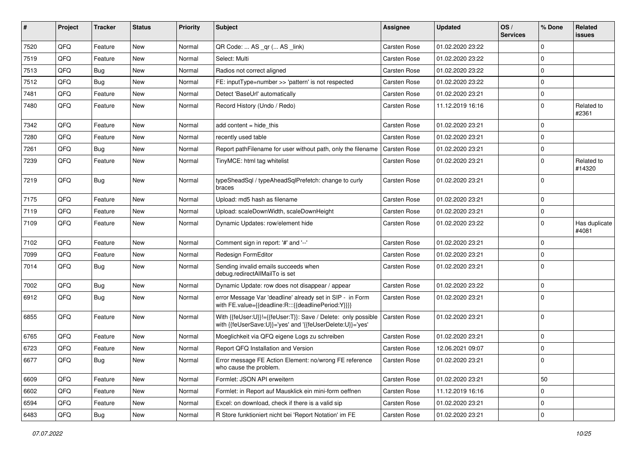| ∦    | Project | <b>Tracker</b> | <b>Status</b> | <b>Priority</b> | <b>Subject</b>                                                                                                             | <b>Assignee</b> | <b>Updated</b>   | OS/<br><b>Services</b> | % Done       | Related<br>issues      |
|------|---------|----------------|---------------|-----------------|----------------------------------------------------------------------------------------------------------------------------|-----------------|------------------|------------------------|--------------|------------------------|
| 7520 | QFQ     | Feature        | <b>New</b>    | Normal          | QR Code:  AS _qr ( AS _link)                                                                                               | Carsten Rose    | 01.02.2020 23:22 |                        | $\mathbf{0}$ |                        |
| 7519 | QFQ     | Feature        | New           | Normal          | Select: Multi                                                                                                              | Carsten Rose    | 01.02.2020 23:22 |                        | $\mathbf 0$  |                        |
| 7513 | QFQ     | <b>Bug</b>     | New           | Normal          | Radios not correct aligned                                                                                                 | Carsten Rose    | 01.02.2020 23:22 |                        | $\mathbf 0$  |                        |
| 7512 | QFQ     | Bug            | New           | Normal          | FE: inputType=number >> 'pattern' is not respected                                                                         | Carsten Rose    | 01.02.2020 23:22 |                        | $\mathbf 0$  |                        |
| 7481 | QFQ     | Feature        | <b>New</b>    | Normal          | Detect 'BaseUrl' automatically                                                                                             | Carsten Rose    | 01.02.2020 23:21 |                        | $\mathbf 0$  |                        |
| 7480 | QFQ     | Feature        | New           | Normal          | Record History (Undo / Redo)                                                                                               | Carsten Rose    | 11.12.2019 16:16 |                        | $\mathbf 0$  | Related to<br>#2361    |
| 7342 | QFQ     | Feature        | <b>New</b>    | Normal          | add content = hide this                                                                                                    | Carsten Rose    | 01.02.2020 23:21 |                        | 0            |                        |
| 7280 | QFQ     | Feature        | New           | Normal          | recently used table                                                                                                        | Carsten Rose    | 01.02.2020 23:21 |                        | $\mathbf 0$  |                        |
| 7261 | QFQ     | <b>Bug</b>     | <b>New</b>    | Normal          | Report pathFilename for user without path, only the filename                                                               | Carsten Rose    | 01.02.2020 23:21 |                        | $\mathbf 0$  |                        |
| 7239 | QFQ     | Feature        | New           | Normal          | TinyMCE: html tag whitelist                                                                                                | Carsten Rose    | 01.02.2020 23:21 |                        | $\mathbf 0$  | Related to<br>#14320   |
| 7219 | QFQ     | <b>Bug</b>     | <b>New</b>    | Normal          | typeSheadSql / typeAheadSqlPrefetch: change to curly<br>braces                                                             | Carsten Rose    | 01.02.2020 23:21 |                        | $\mathbf 0$  |                        |
| 7175 | QFQ     | Feature        | <b>New</b>    | Normal          | Upload: md5 hash as filename                                                                                               | Carsten Rose    | 01.02.2020 23:21 |                        | $\mathbf 0$  |                        |
| 7119 | QFQ     | Feature        | New           | Normal          | Upload: scaleDownWidth, scaleDownHeight                                                                                    | Carsten Rose    | 01.02.2020 23:21 |                        | $\pmb{0}$    |                        |
| 7109 | QFQ     | Feature        | New           | Normal          | Dynamic Updates: row/element hide                                                                                          | Carsten Rose    | 01.02.2020 23:22 |                        | $\mathbf 0$  | Has duplicate<br>#4081 |
| 7102 | QFQ     | Feature        | <b>New</b>    | Normal          | Comment sign in report: '#' and '--'                                                                                       | Carsten Rose    | 01.02.2020 23:21 |                        | $\mathbf 0$  |                        |
| 7099 | QFQ     | Feature        | <b>New</b>    | Normal          | Redesign FormEditor                                                                                                        | Carsten Rose    | 01.02.2020 23:21 |                        | $\mathbf 0$  |                        |
| 7014 | QFQ     | <b>Bug</b>     | New           | Normal          | Sending invalid emails succeeds when<br>debug.redirectAllMailTo is set                                                     | Carsten Rose    | 01.02.2020 23:21 |                        | $\mathbf 0$  |                        |
| 7002 | QFQ     | <b>Bug</b>     | New           | Normal          | Dynamic Update: row does not disappear / appear                                                                            | Carsten Rose    | 01.02.2020 23:22 |                        | $\mathbf 0$  |                        |
| 6912 | QFQ     | Bug            | New           | Normal          | error Message Var 'deadline' already set in SIP - in Form<br>with FE.value={{deadline:R:::{{deadlinePeriod:Y}}}}           | Carsten Rose    | 01.02.2020 23:21 |                        | $\mathbf 0$  |                        |
| 6855 | QFQ     | Feature        | <b>New</b>    | Normal          | With {{feUser:U}}!={{feUser:T}}: Save / Delete: only possible<br>with {{feUserSave:U}}='yes' and '{{feUserDelete:U}}='yes' | Carsten Rose    | 01.02.2020 23:21 |                        | $\mathbf 0$  |                        |
| 6765 | QFQ     | Feature        | <b>New</b>    | Normal          | Moeglichkeit via QFQ eigene Logs zu schreiben                                                                              | Carsten Rose    | 01.02.2020 23:21 |                        | 0            |                        |
| 6723 | QFQ     | Feature        | New           | Normal          | Report QFQ Installation and Version                                                                                        | Carsten Rose    | 12.06.2021 09:07 |                        | $\mathbf 0$  |                        |
| 6677 | QFO     | <b>Bug</b>     | New           | Normal          | Error message FE Action Element: no/wrong FE reference<br>who cause the problem.                                           | Carsten Rose    | 01.02.2020 23:21 |                        | 0            |                        |
| 6609 | QFQ     | Feature        | New           | Normal          | Formlet: JSON API erweitern                                                                                                | Carsten Rose    | 01.02.2020 23:21 |                        | 50           |                        |
| 6602 | QFQ     | Feature        | New           | Normal          | Formlet: in Report auf Mausklick ein mini-form oeffnen                                                                     | Carsten Rose    | 11.12.2019 16:16 |                        | $\pmb{0}$    |                        |
| 6594 | QFQ     | Feature        | New           | Normal          | Excel: on download, check if there is a valid sip                                                                          | Carsten Rose    | 01.02.2020 23:21 |                        | $\pmb{0}$    |                        |
| 6483 | QFQ     | Bug            | New           | Normal          | R Store funktioniert nicht bei 'Report Notation' im FE                                                                     | Carsten Rose    | 01.02.2020 23:21 |                        | $\pmb{0}$    |                        |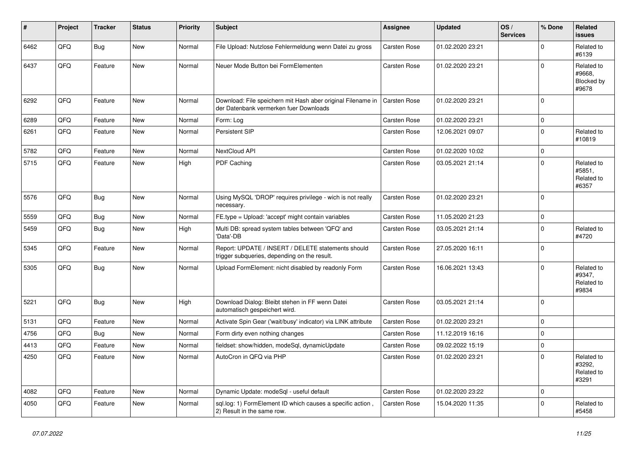| #    | Project | <b>Tracker</b> | <b>Status</b> | <b>Priority</b> | <b>Subject</b>                                                                                        | <b>Assignee</b>     | <b>Updated</b>   | OS/<br><b>Services</b> | % Done      | Related<br><b>issues</b>                    |
|------|---------|----------------|---------------|-----------------|-------------------------------------------------------------------------------------------------------|---------------------|------------------|------------------------|-------------|---------------------------------------------|
| 6462 | QFQ     | <b>Bug</b>     | <b>New</b>    | Normal          | File Upload: Nutzlose Fehlermeldung wenn Datei zu gross                                               | Carsten Rose        | 01.02.2020 23:21 |                        | $\Omega$    | Related to<br>#6139                         |
| 6437 | QFQ     | Feature        | <b>New</b>    | Normal          | Neuer Mode Button bei FormElementen                                                                   | Carsten Rose        | 01.02.2020 23:21 |                        | 0           | Related to<br>#9668,<br>Blocked by<br>#9678 |
| 6292 | QFQ     | Feature        | <b>New</b>    | Normal          | Download: File speichern mit Hash aber original Filename in<br>der Datenbank vermerken fuer Downloads | Carsten Rose        | 01.02.2020 23:21 |                        | 0           |                                             |
| 6289 | QFQ     | Feature        | <b>New</b>    | Normal          | Form: Log                                                                                             | Carsten Rose        | 01.02.2020 23:21 |                        | $\pmb{0}$   |                                             |
| 6261 | QFQ     | Feature        | <b>New</b>    | Normal          | Persistent SIP                                                                                        | Carsten Rose        | 12.06.2021 09:07 |                        | $\pmb{0}$   | Related to<br>#10819                        |
| 5782 | QFQ     | Feature        | <b>New</b>    | Normal          | <b>NextCloud API</b>                                                                                  | <b>Carsten Rose</b> | 01.02.2020 10:02 |                        | $\mathbf 0$ |                                             |
| 5715 | QFQ     | Feature        | <b>New</b>    | High            | PDF Caching                                                                                           | Carsten Rose        | 03.05.2021 21:14 |                        | $\mathbf 0$ | Related to<br>#5851,<br>Related to<br>#6357 |
| 5576 | QFQ     | Bug            | <b>New</b>    | Normal          | Using MySQL 'DROP' requires privilege - wich is not really<br>necessary.                              | <b>Carsten Rose</b> | 01.02.2020 23:21 |                        | $\Omega$    |                                             |
| 5559 | QFQ     | <b>Bug</b>     | <b>New</b>    | Normal          | FE.type = Upload: 'accept' might contain variables                                                    | Carsten Rose        | 11.05.2020 21:23 |                        | 0           |                                             |
| 5459 | QFQ     | Bug            | <b>New</b>    | High            | Multi DB: spread system tables between 'QFQ' and<br>'Data'-DB                                         | Carsten Rose        | 03.05.2021 21:14 |                        | $\mathbf 0$ | Related to<br>#4720                         |
| 5345 | QFQ     | Feature        | <b>New</b>    | Normal          | Report: UPDATE / INSERT / DELETE statements should<br>trigger subqueries, depending on the result.    | Carsten Rose        | 27.05.2020 16:11 |                        | $\Omega$    |                                             |
| 5305 | QFQ     | <b>Bug</b>     | New           | Normal          | Upload FormElement: nicht disabled by readonly Form                                                   | Carsten Rose        | 16.06.2021 13:43 |                        | $\mathbf 0$ | Related to<br>#9347,<br>Related to<br>#9834 |
| 5221 | QFQ     | Bug            | <b>New</b>    | High            | Download Dialog: Bleibt stehen in FF wenn Datei<br>automatisch gespeichert wird.                      | Carsten Rose        | 03.05.2021 21:14 |                        | $\Omega$    |                                             |
| 5131 | QFQ     | Feature        | <b>New</b>    | Normal          | Activate Spin Gear ('wait/busy' indicator) via LINK attribute                                         | Carsten Rose        | 01.02.2020 23:21 |                        | $\pmb{0}$   |                                             |
| 4756 | QFQ     | Bug            | <b>New</b>    | Normal          | Form dirty even nothing changes                                                                       | Carsten Rose        | 11.12.2019 16:16 |                        | $\pmb{0}$   |                                             |
| 4413 | QFQ     | Feature        | <b>New</b>    | Normal          | fieldset: show/hidden, modeSql, dynamicUpdate                                                         | Carsten Rose        | 09.02.2022 15:19 |                        | $\pmb{0}$   |                                             |
| 4250 | QFQ     | Feature        | <b>New</b>    | Normal          | AutoCron in QFQ via PHP                                                                               | Carsten Rose        | 01.02.2020 23:21 |                        | $\Omega$    | Related to<br>#3292,<br>Related to<br>#3291 |
| 4082 | QFQ     | Feature        | <b>New</b>    | Normal          | Dynamic Update: modeSql - useful default                                                              | Carsten Rose        | 01.02.2020 23:22 |                        | $\pmb{0}$   |                                             |
| 4050 | QFQ     | Feature        | <b>New</b>    | Normal          | sql.log: 1) FormElement ID which causes a specific action,<br>2) Result in the same row.              | Carsten Rose        | 15.04.2020 11:35 |                        | $\Omega$    | Related to<br>#5458                         |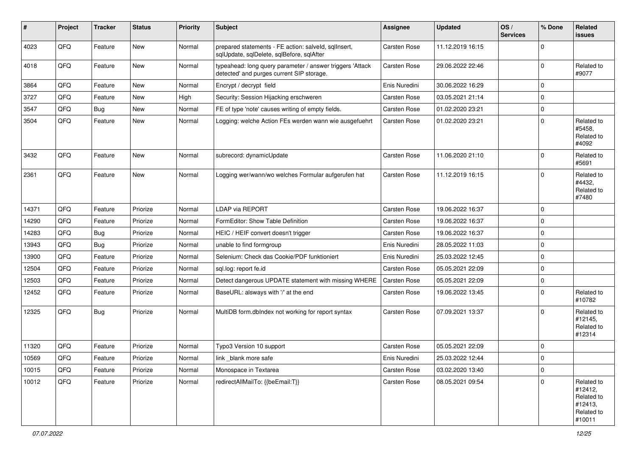| ∦     | Project | <b>Tracker</b> | <b>Status</b> | <b>Priority</b> | <b>Subject</b>                                                                                         | <b>Assignee</b> | <b>Updated</b>   | OS/<br><b>Services</b> | % Done       | Related<br>issues                                                      |
|-------|---------|----------------|---------------|-----------------|--------------------------------------------------------------------------------------------------------|-----------------|------------------|------------------------|--------------|------------------------------------------------------------------------|
| 4023  | QFQ     | Feature        | New           | Normal          | prepared statements - FE action: salveld, sqllnsert,<br>sqlUpdate, sqlDelete, sqlBefore, sqlAfter      | Carsten Rose    | 11.12.2019 16:15 |                        | $\mathbf 0$  |                                                                        |
| 4018  | QFQ     | Feature        | New           | Normal          | typeahead: long query parameter / answer triggers 'Attack<br>detected' and purges current SIP storage. | Carsten Rose    | 29.06.2022 22:46 |                        | 0            | Related to<br>#9077                                                    |
| 3864  | QFQ     | Feature        | <b>New</b>    | Normal          | Encrypt / decrypt field                                                                                | Enis Nuredini   | 30.06.2022 16:29 |                        | $\mathbf 0$  |                                                                        |
| 3727  | QFQ     | Feature        | <b>New</b>    | High            | Security: Session Hijacking erschweren                                                                 | Carsten Rose    | 03.05.2021 21:14 |                        | $\mathbf 0$  |                                                                        |
| 3547  | QFQ     | Bug            | New           | Normal          | FE of type 'note' causes writing of empty fields.                                                      | Carsten Rose    | 01.02.2020 23:21 |                        | $\mathbf 0$  |                                                                        |
| 3504  | QFQ     | Feature        | New           | Normal          | Logging: welche Action FEs werden wann wie ausgefuehrt                                                 | Carsten Rose    | 01.02.2020 23:21 |                        | $\mathbf 0$  | Related to<br>#5458.<br>Related to<br>#4092                            |
| 3432  | QFQ     | Feature        | <b>New</b>    | Normal          | subrecord: dynamicUpdate                                                                               | Carsten Rose    | 11.06.2020 21:10 |                        | $\mathbf 0$  | Related to<br>#5691                                                    |
| 2361  | QFQ     | Feature        | New           | Normal          | Logging wer/wann/wo welches Formular aufgerufen hat                                                    | Carsten Rose    | 11.12.2019 16:15 |                        | $\mathbf 0$  | Related to<br>#4432.<br>Related to<br>#7480                            |
| 14371 | QFQ     | Feature        | Priorize      | Normal          | <b>LDAP via REPORT</b>                                                                                 | Carsten Rose    | 19.06.2022 16:37 |                        | $\mathbf 0$  |                                                                        |
| 14290 | QFQ     | Feature        | Priorize      | Normal          | FormEditor: Show Table Definition                                                                      | Carsten Rose    | 19.06.2022 16:37 |                        | $\mathbf 0$  |                                                                        |
| 14283 | QFQ     | Bug            | Priorize      | Normal          | HEIC / HEIF convert doesn't trigger                                                                    | Carsten Rose    | 19.06.2022 16:37 |                        | $\mathbf 0$  |                                                                        |
| 13943 | QFQ     | Bug            | Priorize      | Normal          | unable to find formgroup                                                                               | Enis Nuredini   | 28.05.2022 11:03 |                        | $\mathbf 0$  |                                                                        |
| 13900 | QFQ     | Feature        | Priorize      | Normal          | Selenium: Check das Cookie/PDF funktioniert                                                            | Enis Nuredini   | 25.03.2022 12:45 |                        | $\mathbf 0$  |                                                                        |
| 12504 | QFQ     | Feature        | Priorize      | Normal          | sql.log: report fe.id                                                                                  | Carsten Rose    | 05.05.2021 22:09 |                        | $\mathbf 0$  |                                                                        |
| 12503 | QFQ     | Feature        | Priorize      | Normal          | Detect dangerous UPDATE statement with missing WHERE                                                   | Carsten Rose    | 05.05.2021 22:09 |                        | $\pmb{0}$    |                                                                        |
| 12452 | QFQ     | Feature        | Priorize      | Normal          | BaseURL: alsways with '/' at the end                                                                   | Carsten Rose    | 19.06.2022 13:45 |                        | $\mathbf 0$  | Related to<br>#10782                                                   |
| 12325 | QFQ     | Bug            | Priorize      | Normal          | MultiDB form.dblndex not working for report syntax                                                     | Carsten Rose    | 07.09.2021 13:37 |                        | $\mathbf 0$  | Related to<br>#12145,<br>Related to<br>#12314                          |
| 11320 | QFQ     | Feature        | Priorize      | Normal          | Typo3 Version 10 support                                                                               | Carsten Rose    | 05.05.2021 22:09 |                        | $\mathbf 0$  |                                                                        |
| 10569 | QFQ     | Feature        | Priorize      | Normal          | link_blank more safe                                                                                   | Enis Nuredini   | 25.03.2022 12:44 |                        | $\Omega$     |                                                                        |
| 10015 | QFQ     | Feature        | Priorize      | Normal          | Monospace in Textarea                                                                                  | Carsten Rose    | 03.02.2020 13:40 |                        | $\mathbf 0$  |                                                                        |
| 10012 | QFQ     | Feature        | Priorize      | Normal          | redirectAllMailTo: {{beEmail:T}}                                                                       | Carsten Rose    | 08.05.2021 09:54 |                        | $\mathbf{0}$ | Related to<br>#12412,<br>Related to<br>#12413,<br>Related to<br>#10011 |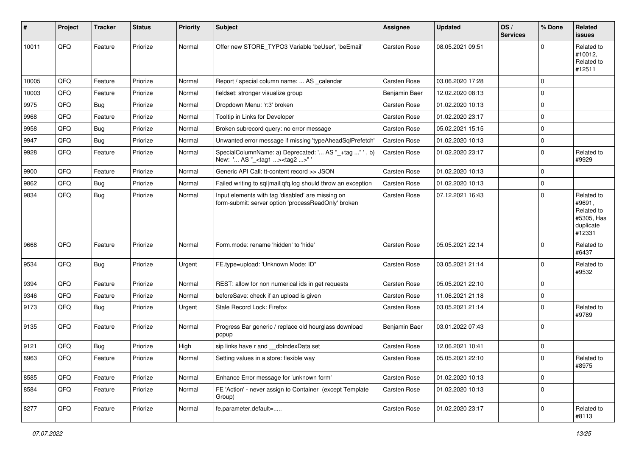| #     | <b>Project</b> | <b>Tracker</b> | <b>Status</b> | <b>Priority</b> | Subject                                                                                                  | Assignee            | <b>Updated</b>   | OS/<br><b>Services</b> | % Done       | Related<br>issues                                                       |
|-------|----------------|----------------|---------------|-----------------|----------------------------------------------------------------------------------------------------------|---------------------|------------------|------------------------|--------------|-------------------------------------------------------------------------|
| 10011 | QFQ            | Feature        | Priorize      | Normal          | Offer new STORE_TYPO3 Variable 'beUser', 'beEmail'                                                       | Carsten Rose        | 08.05.2021 09:51 |                        | $\Omega$     | Related to<br>#10012,<br>Related to<br>#12511                           |
| 10005 | QFQ            | Feature        | Priorize      | Normal          | Report / special column name:  AS _calendar                                                              | Carsten Rose        | 03.06.2020 17:28 |                        | $\mathbf 0$  |                                                                         |
| 10003 | QFQ            | Feature        | Priorize      | Normal          | fieldset: stronger visualize group                                                                       | Benjamin Baer       | 12.02.2020 08:13 |                        | 0            |                                                                         |
| 9975  | QFQ            | <b>Bug</b>     | Priorize      | Normal          | Dropdown Menu: 'r:3' broken                                                                              | Carsten Rose        | 01.02.2020 10:13 |                        | $\mathbf 0$  |                                                                         |
| 9968  | QFQ            | Feature        | Priorize      | Normal          | Tooltip in Links for Developer                                                                           | Carsten Rose        | 01.02.2020 23:17 |                        | $\mathbf 0$  |                                                                         |
| 9958  | QFQ            | <b>Bug</b>     | Priorize      | Normal          | Broken subrecord query: no error message                                                                 | <b>Carsten Rose</b> | 05.02.2021 15:15 |                        | $\mathbf 0$  |                                                                         |
| 9947  | QFQ            | <b>Bug</b>     | Priorize      | Normal          | Unwanted error message if missing 'typeAheadSqlPrefetch'                                                 | Carsten Rose        | 01.02.2020 10:13 |                        | $\mathbf 0$  |                                                                         |
| 9928  | QFQ            | Feature        | Priorize      | Normal          | SpecialColumnName: a) Deprecated: ' AS "_+tag " ', b)<br>New: ' AS "_ <tag1><tag2>"'</tag2></tag1>       | Carsten Rose        | 01.02.2020 23:17 |                        | $\mathbf 0$  | Related to<br>#9929                                                     |
| 9900  | QFQ            | Feature        | Priorize      | Normal          | Generic API Call: tt-content record >> JSON                                                              | Carsten Rose        | 01.02.2020 10:13 |                        | $\mathbf 0$  |                                                                         |
| 9862  | QFQ            | Bug            | Priorize      | Normal          | Failed writing to sql mail qfq.log should throw an exception                                             | Carsten Rose        | 01.02.2020 10:13 |                        | $\mathbf 0$  |                                                                         |
| 9834  | QFQ            | Bug            | Priorize      | Normal          | Input elements with tag 'disabled' are missing on<br>form-submit: server option 'processReadOnly' broken | Carsten Rose        | 07.12.2021 16:43 |                        | $\mathbf 0$  | Related to<br>#9691,<br>Related to<br>#5305, Has<br>duplicate<br>#12331 |
| 9668  | QFQ            | Feature        | Priorize      | Normal          | Form.mode: rename 'hidden' to 'hide'                                                                     | Carsten Rose        | 05.05.2021 22:14 |                        | $\mathbf 0$  | Related to<br>#6437                                                     |
| 9534  | QFQ            | Bug            | Priorize      | Urgent          | FE.type=upload: 'Unknown Mode: ID"                                                                       | Carsten Rose        | 03.05.2021 21:14 |                        | $\mathbf 0$  | Related to<br>#9532                                                     |
| 9394  | QFQ            | Feature        | Priorize      | Normal          | REST: allow for non numerical ids in get requests                                                        | Carsten Rose        | 05.05.2021 22:10 |                        | $\mathbf 0$  |                                                                         |
| 9346  | QFQ            | Feature        | Priorize      | Normal          | beforeSave: check if an upload is given                                                                  | Carsten Rose        | 11.06.2021 21:18 |                        | $\mathbf 0$  |                                                                         |
| 9173  | QFQ            | Bug            | Priorize      | Urgent          | Stale Record Lock: Firefox                                                                               | Carsten Rose        | 03.05.2021 21:14 |                        | 0            | Related to<br>#9789                                                     |
| 9135  | QFQ            | Feature        | Priorize      | Normal          | Progress Bar generic / replace old hourglass download<br>popup                                           | Benjamin Baer       | 03.01.2022 07:43 |                        | $\mathbf{0}$ |                                                                         |
| 9121  | QFQ            | Bug            | Priorize      | High            | sip links have r and __dbIndexData set                                                                   | Carsten Rose        | 12.06.2021 10:41 |                        | 0            |                                                                         |
| 8963  | QFQ            | Feature        | Priorize      | Normal          | Setting values in a store: flexible way                                                                  | Carsten Rose        | 05.05.2021 22:10 |                        | $\mathbf 0$  | Related to<br>#8975                                                     |
| 8585  | QFQ            | Feature        | Priorize      | Normal          | Enhance Error message for 'unknown form'                                                                 | Carsten Rose        | 01.02.2020 10:13 |                        | $\mathbf 0$  |                                                                         |
| 8584  | QFQ            | Feature        | Priorize      | Normal          | FE 'Action' - never assign to Container (except Template<br>Group)                                       | Carsten Rose        | 01.02.2020 10:13 |                        | $\mathbf 0$  |                                                                         |
| 8277  | QFQ            | Feature        | Priorize      | Normal          | fe.parameter.default=                                                                                    | Carsten Rose        | 01.02.2020 23:17 |                        | $\pmb{0}$    | Related to<br>#8113                                                     |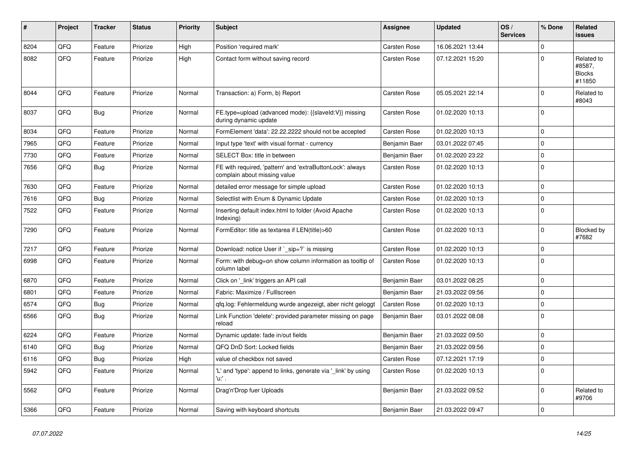| ∦    | Project    | <b>Tracker</b> | <b>Status</b> | <b>Priority</b> | <b>Subject</b>                                                                            | <b>Assignee</b>     | <b>Updated</b>   | OS/<br><b>Services</b> | % Done      | Related<br><b>issues</b>                        |
|------|------------|----------------|---------------|-----------------|-------------------------------------------------------------------------------------------|---------------------|------------------|------------------------|-------------|-------------------------------------------------|
| 8204 | QFQ        | Feature        | Priorize      | High            | Position 'required mark'                                                                  | Carsten Rose        | 16.06.2021 13:44 |                        | $\Omega$    |                                                 |
| 8082 | QFQ        | Feature        | Priorize      | High            | Contact form without saving record                                                        | Carsten Rose        | 07.12.2021 15:20 |                        | $\Omega$    | Related to<br>#8587,<br><b>Blocks</b><br>#11850 |
| 8044 | <b>OFO</b> | Feature        | Priorize      | Normal          | Transaction: a) Form, b) Report                                                           | <b>Carsten Rose</b> | 05.05.2021 22:14 |                        | $\Omega$    | Related to<br>#8043                             |
| 8037 | QFQ        | <b>Bug</b>     | Priorize      | Normal          | FE.type=upload (advanced mode): {{slaveld:V}} missing<br>during dynamic update            | Carsten Rose        | 01.02.2020 10:13 |                        | $\Omega$    |                                                 |
| 8034 | QFQ        | Feature        | Priorize      | Normal          | FormElement 'data': 22.22.2222 should not be accepted                                     | Carsten Rose        | 01.02.2020 10:13 |                        | $\Omega$    |                                                 |
| 7965 | QFQ        | Feature        | Priorize      | Normal          | Input type 'text' with visual format - currency                                           | Benjamin Baer       | 03.01.2022 07:45 |                        | $\Omega$    |                                                 |
| 7730 | QFQ        | Feature        | Priorize      | Normal          | SELECT Box: title in between                                                              | Benjamin Baer       | 01.02.2020 23:22 |                        | 0           |                                                 |
| 7656 | QFQ        | <b>Bug</b>     | Priorize      | Normal          | FE with required, 'pattern' and 'extraButtonLock': always<br>complain about missing value | Carsten Rose        | 01.02.2020 10:13 |                        | $\Omega$    |                                                 |
| 7630 | QFQ        | Feature        | Priorize      | Normal          | detailed error message for simple upload                                                  | <b>Carsten Rose</b> | 01.02.2020 10:13 |                        | $\Omega$    |                                                 |
| 7616 | QFQ        | <b>Bug</b>     | Priorize      | Normal          | Selectlist with Enum & Dynamic Update                                                     | <b>Carsten Rose</b> | 01.02.2020 10:13 |                        | $\Omega$    |                                                 |
| 7522 | QFQ        | Feature        | Priorize      | Normal          | Inserting default index.html to folder (Avoid Apache<br>Indexing)                         | Carsten Rose        | 01.02.2020 10:13 |                        | $\Omega$    |                                                 |
| 7290 | QFQ        | Feature        | Priorize      | Normal          | FormEditor: title as textarea if LEN(title)>60                                            | Carsten Rose        | 01.02.2020 10:13 |                        | $\mathbf 0$ | Blocked by<br>#7682                             |
| 7217 | QFQ        | Feature        | Priorize      | Normal          | Download: notice User if ` sip=?` is missing                                              | Carsten Rose        | 01.02.2020 10:13 |                        | $\Omega$    |                                                 |
| 6998 | QFQ        | Feature        | Priorize      | Normal          | Form: with debug=on show column information as tooltip of<br>column label                 | Carsten Rose        | 01.02.2020 10:13 |                        | $\Omega$    |                                                 |
| 6870 | QFQ        | Feature        | Priorize      | Normal          | Click on '_link' triggers an API call                                                     | Benjamin Baer       | 03.01.2022 08:25 |                        | $\Omega$    |                                                 |
| 6801 | QFQ        | Feature        | Priorize      | Normal          | Fabric: Maximize / FullIscreen                                                            | Benjamin Baer       | 21.03.2022 09:56 |                        | $\Omega$    |                                                 |
| 6574 | QFQ        | Bug            | Priorize      | Normal          | gfg.log: Fehlermeldung wurde angezeigt, aber nicht geloggt                                | Carsten Rose        | 01.02.2020 10:13 |                        | $\Omega$    |                                                 |
| 6566 | QFQ        | Bug            | Priorize      | Normal          | Link Function 'delete': provided parameter missing on page<br>reload                      | Benjamin Baer       | 03.01.2022 08:08 |                        | $\Omega$    |                                                 |
| 6224 | QFQ        | Feature        | Priorize      | Normal          | Dynamic update: fade in/out fields                                                        | Benjamin Baer       | 21.03.2022 09:50 |                        | $\Omega$    |                                                 |
| 6140 | QFQ        | <b>Bug</b>     | Priorize      | Normal          | QFQ DnD Sort: Locked fields                                                               | Benjamin Baer       | 21.03.2022 09:56 |                        | $\Omega$    |                                                 |
| 6116 | QFQ        | <b>Bug</b>     | Priorize      | High            | value of checkbox not saved                                                               | Carsten Rose        | 07.12.2021 17:19 |                        | $\mathbf 0$ |                                                 |
| 5942 | QFQ        | Feature        | Priorize      | Normal          | 'L' and 'type': append to links, generate via '_link' by using<br>'u' .                   | Carsten Rose        | 01.02.2020 10:13 |                        | $\Omega$    |                                                 |
| 5562 | QFQ        | Feature        | Priorize      | Normal          | Drag'n'Drop fuer Uploads                                                                  | Benjamin Baer       | 21.03.2022 09:52 |                        | $\Omega$    | Related to<br>#9706                             |
| 5366 | QFQ        | Feature        | Priorize      | Normal          | Saving with keyboard shortcuts                                                            | Benjamin Baer       | 21.03.2022 09:47 |                        | $\Omega$    |                                                 |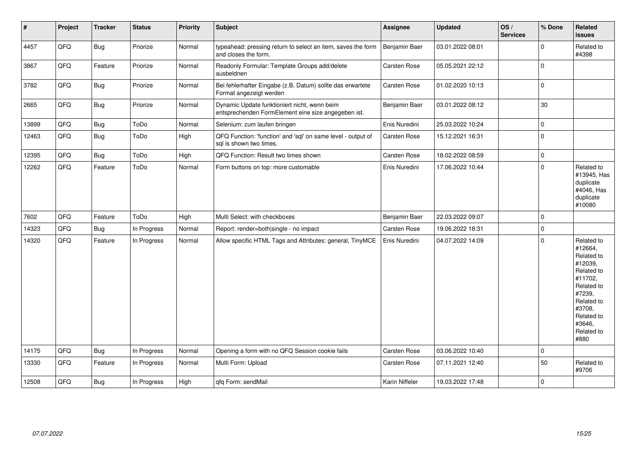| $\vert$ # | Project | <b>Tracker</b> | <b>Status</b> | <b>Priority</b> | <b>Subject</b>                                                                                      | Assignee            | <b>Updated</b>   | OS/<br><b>Services</b> | % Done      | Related<br><b>issues</b>                                                                                                                                              |
|-----------|---------|----------------|---------------|-----------------|-----------------------------------------------------------------------------------------------------|---------------------|------------------|------------------------|-------------|-----------------------------------------------------------------------------------------------------------------------------------------------------------------------|
| 4457      | QFQ     | <b>Bug</b>     | Priorize      | Normal          | typeahead: pressing return to select an item, saves the form<br>and closes the form.                | Benjamin Baer       | 03.01.2022 08:01 |                        | $\mathbf 0$ | Related to<br>#4398                                                                                                                                                   |
| 3867      | QFQ     | Feature        | Priorize      | Normal          | Readonly Formular: Template Groups add/delete<br>ausbeldnen                                         | Carsten Rose        | 05.05.2021 22:12 |                        | $\mathbf 0$ |                                                                                                                                                                       |
| 3782      | QFQ     | Bug            | Priorize      | Normal          | Bei fehlerhafter Eingabe (z.B. Datum) sollte das erwartete<br>Format angezeigt werden               | Carsten Rose        | 01.02.2020 10:13 |                        | $\mathbf 0$ |                                                                                                                                                                       |
| 2665      | QFQ     | <b>Bug</b>     | Priorize      | Normal          | Dynamic Update funktioniert nicht, wenn beim<br>entsprechenden FormElement eine size angegeben ist. | Benjamin Baer       | 03.01.2022 08:12 |                        | 30          |                                                                                                                                                                       |
| 13899     | QFQ     | <b>Bug</b>     | ToDo          | Normal          | Selenium: zum laufen bringen                                                                        | Enis Nuredini       | 25.03.2022 10:24 |                        | $\mathbf 0$ |                                                                                                                                                                       |
| 12463     | QFQ     | <b>Bug</b>     | ToDo          | High            | QFQ Function: 'function' and 'sql' on same level - output of<br>sal is shown two times.             | <b>Carsten Rose</b> | 15.12.2021 16:31 |                        | $\mathbf 0$ |                                                                                                                                                                       |
| 12395     | QFQ     | Bug            | ToDo          | High            | QFQ Function: Result two times shown                                                                | Carsten Rose        | 18.02.2022 08:59 |                        | $\pmb{0}$   |                                                                                                                                                                       |
| 12262     | QFQ     | Feature        | ToDo          | Normal          | Form buttons on top: more customable                                                                | Enis Nuredini       | 17.06.2022 10:44 |                        | $\pmb{0}$   | Related to<br>#13945, Has<br>duplicate<br>#4046, Has<br>duplicate<br>#10080                                                                                           |
| 7602      | QFQ     | Feature        | ToDo          | High            | Multi Select: with checkboxes                                                                       | Benjamin Baer       | 22.03.2022 09:07 |                        | $\mathbf 0$ |                                                                                                                                                                       |
| 14323     | QFQ     | <b>Bug</b>     | In Progress   | Normal          | Report: render=both single - no impact                                                              | <b>Carsten Rose</b> | 19.06.2022 18:31 |                        | $\pmb{0}$   |                                                                                                                                                                       |
| 14320     | QFQ     | Feature        | In Progress   | Normal          | Allow specific HTML Tags and Attributes: general, TinyMCE                                           | Enis Nuredini       | 04.07.2022 14:09 |                        | $\mathbf 0$ | Related to<br>#12664,<br>Related to<br>#12039,<br>Related to<br>#11702,<br>Related to<br>#7239,<br>Related to<br>#3708,<br>Related to<br>#3646,<br>Related to<br>#880 |
| 14175     | QFQ     | Bug            | In Progress   | Normal          | Opening a form with no QFQ Session cookie fails                                                     | Carsten Rose        | 03.06.2022 10:40 |                        | $\mathbf 0$ |                                                                                                                                                                       |
| 13330     | QFQ     | Feature        | In Progress   | Normal          | Multi Form: Upload                                                                                  | <b>Carsten Rose</b> | 07.11.2021 12:40 |                        | 50          | Related to<br>#9706                                                                                                                                                   |
| 12508     | QFQ     | <b>Bug</b>     | In Progress   | High            | qfq Form: sendMail                                                                                  | Karin Niffeler      | 19.03.2022 17:48 |                        | $\mathbf 0$ |                                                                                                                                                                       |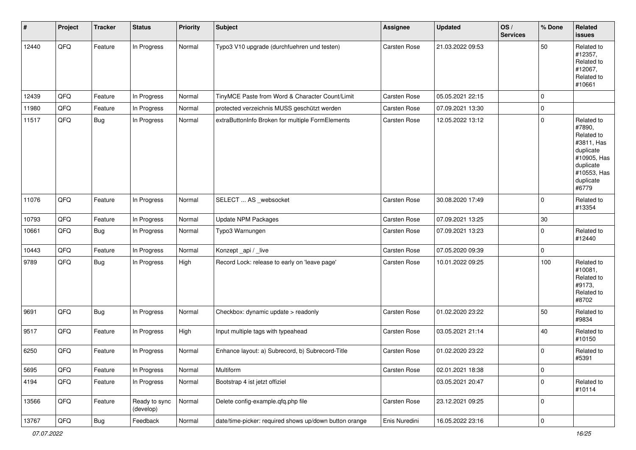| #     | Project | <b>Tracker</b> | <b>Status</b>              | <b>Priority</b> | <b>Subject</b>                                         | <b>Assignee</b> | <b>Updated</b>   | OS/<br><b>Services</b> | % Done | Related<br><b>issues</b>                                                                                                       |
|-------|---------|----------------|----------------------------|-----------------|--------------------------------------------------------|-----------------|------------------|------------------------|--------|--------------------------------------------------------------------------------------------------------------------------------|
| 12440 | QFQ     | Feature        | In Progress                | Normal          | Typo3 V10 upgrade (durchfuehren und testen)            | Carsten Rose    | 21.03.2022 09:53 |                        | 50     | Related to<br>#12357,<br>Related to<br>#12067,<br>Related to<br>#10661                                                         |
| 12439 | QFQ     | Feature        | In Progress                | Normal          | TinyMCE Paste from Word & Character Count/Limit        | Carsten Rose    | 05.05.2021 22:15 |                        | 0      |                                                                                                                                |
| 11980 | QFQ     | Feature        | In Progress                | Normal          | protected verzeichnis MUSS geschützt werden            | Carsten Rose    | 07.09.2021 13:30 |                        | 0      |                                                                                                                                |
| 11517 | QFQ     | <b>Bug</b>     | In Progress                | Normal          | extraButtonInfo Broken for multiple FormElements       | Carsten Rose    | 12.05.2022 13:12 |                        | 0      | Related to<br>#7890,<br>Related to<br>#3811, Has<br>duplicate<br>#10905, Has<br>duplicate<br>#10553, Has<br>duplicate<br>#6779 |
| 11076 | QFQ     | Feature        | In Progress                | Normal          | SELECT  AS _websocket                                  | Carsten Rose    | 30.08.2020 17:49 |                        | 0      | Related to<br>#13354                                                                                                           |
| 10793 | QFQ     | Feature        | In Progress                | Normal          | <b>Update NPM Packages</b>                             | Carsten Rose    | 07.09.2021 13:25 |                        | $30\,$ |                                                                                                                                |
| 10661 | QFQ     | <b>Bug</b>     | In Progress                | Normal          | Typo3 Warnungen                                        | Carsten Rose    | 07.09.2021 13:23 |                        | 0      | Related to<br>#12440                                                                                                           |
| 10443 | QFQ     | Feature        | In Progress                | Normal          | Konzept_api / _live                                    | Carsten Rose    | 07.05.2020 09:39 |                        | 0      |                                                                                                                                |
| 9789  | QFQ     | Bug            | In Progress                | High            | Record Lock: release to early on 'leave page'          | Carsten Rose    | 10.01.2022 09:25 |                        | 100    | Related to<br>#10081,<br>Related to<br>#9173,<br>Related to<br>#8702                                                           |
| 9691  | QFQ     | <b>Bug</b>     | In Progress                | Normal          | Checkbox: dynamic update > readonly                    | Carsten Rose    | 01.02.2020 23:22 |                        | 50     | Related to<br>#9834                                                                                                            |
| 9517  | QFQ     | Feature        | In Progress                | High            | Input multiple tags with typeahead                     | Carsten Rose    | 03.05.2021 21:14 |                        | 40     | Related to<br>#10150                                                                                                           |
| 6250  | QFQ     | Feature        | In Progress                | Normal          | Enhance layout: a) Subrecord, b) Subrecord-Title       | Carsten Rose    | 01.02.2020 23:22 |                        | 0      | Related to<br>#5391                                                                                                            |
| 5695  | QFQ     | Feature        | In Progress                | Normal          | Multiform                                              | Carsten Rose    | 02.01.2021 18:38 |                        | 0      |                                                                                                                                |
| 4194  | QFQ     | Feature        | In Progress                | Normal          | Bootstrap 4 ist jetzt offiziel                         |                 | 03.05.2021 20:47 |                        | 0      | Related to<br>#10114                                                                                                           |
| 13566 | QFQ     | Feature        | Ready to sync<br>(develop) | Normal          | Delete config-example.qfq.php file                     | Carsten Rose    | 23.12.2021 09:25 |                        | 0      |                                                                                                                                |
| 13767 | QFG     | Bug            | Feedback                   | Normal          | date/time-picker: required shows up/down button orange | Enis Nuredini   | 16.05.2022 23:16 |                        | 0      |                                                                                                                                |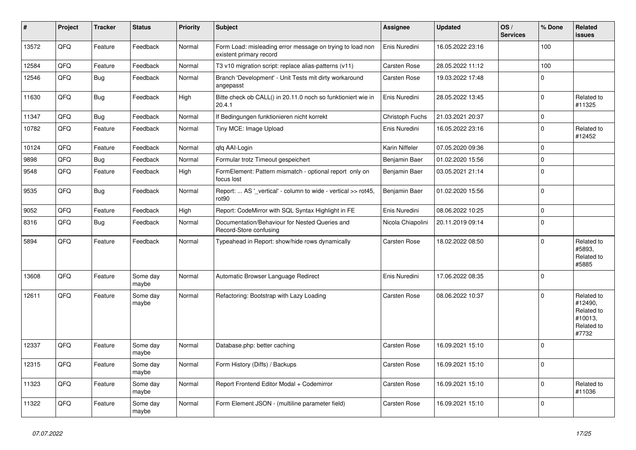| ∥ #   | Project | <b>Tracker</b> | <b>Status</b>     | <b>Priority</b> | <b>Subject</b>                                                                       | <b>Assignee</b>   | <b>Updated</b>   | OS/<br><b>Services</b> | % Done      | Related<br>issues                                                     |
|-------|---------|----------------|-------------------|-----------------|--------------------------------------------------------------------------------------|-------------------|------------------|------------------------|-------------|-----------------------------------------------------------------------|
| 13572 | QFQ     | Feature        | Feedback          | Normal          | Form Load: misleading error message on trying to load non<br>existent primary record | Enis Nuredini     | 16.05.2022 23:16 |                        | 100         |                                                                       |
| 12584 | QFQ     | Feature        | Feedback          | Normal          | T3 v10 migration script: replace alias-patterns (v11)                                | Carsten Rose      | 28.05.2022 11:12 |                        | 100         |                                                                       |
| 12546 | QFQ     | <b>Bug</b>     | Feedback          | Normal          | Branch 'Development' - Unit Tests mit dirty workaround<br>angepasst                  | Carsten Rose      | 19.03.2022 17:48 |                        | $\mathbf 0$ |                                                                       |
| 11630 | QFQ     | <b>Bug</b>     | Feedback          | High            | Bitte check ob CALL() in 20.11.0 noch so funktioniert wie in<br>20.4.1               | Enis Nuredini     | 28.05.2022 13:45 |                        | $\pmb{0}$   | Related to<br>#11325                                                  |
| 11347 | QFQ     | <b>Bug</b>     | Feedback          | Normal          | If Bedingungen funktionieren nicht korrekt                                           | Christoph Fuchs   | 21.03.2021 20:37 |                        | 0           |                                                                       |
| 10782 | QFQ     | Feature        | Feedback          | Normal          | Tiny MCE: Image Upload                                                               | Enis Nuredini     | 16.05.2022 23:16 |                        | $\pmb{0}$   | Related to<br>#12452                                                  |
| 10124 | QFQ     | Feature        | Feedback          | Normal          | gfg AAI-Login                                                                        | Karin Niffeler    | 07.05.2020 09:36 |                        | $\pmb{0}$   |                                                                       |
| 9898  | QFQ     | Bug            | Feedback          | Normal          | Formular trotz Timeout gespeichert                                                   | Benjamin Baer     | 01.02.2020 15:56 |                        | $\pmb{0}$   |                                                                       |
| 9548  | QFQ     | Feature        | Feedback          | High            | FormElement: Pattern mismatch - optional report only on<br>focus lost                | Benjamin Baer     | 03.05.2021 21:14 |                        | $\pmb{0}$   |                                                                       |
| 9535  | QFQ     | <b>Bug</b>     | Feedback          | Normal          | Report:  AS ' vertical' - column to wide - vertical >> rot45,<br>rot90               | Benjamin Baer     | 01.02.2020 15:56 |                        | $\mathbf 0$ |                                                                       |
| 9052  | QFQ     | Feature        | Feedback          | High            | Report: CodeMirror with SQL Syntax Highlight in FE                                   | Enis Nuredini     | 08.06.2022 10:25 |                        | $\pmb{0}$   |                                                                       |
| 8316  | QFQ     | <b>Bug</b>     | Feedback          | Normal          | Documentation/Behaviour for Nested Queries and<br>Record-Store confusing             | Nicola Chiapolini | 20.11.2019 09:14 |                        | $\mathbf 0$ |                                                                       |
| 5894  | QFQ     | Feature        | Feedback          | Normal          | Typeahead in Report: show/hide rows dynamically                                      | Carsten Rose      | 18.02.2022 08:50 |                        | $\Omega$    | Related to<br>#5893.<br>Related to<br>#5885                           |
| 13608 | QFQ     | Feature        | Some day<br>maybe | Normal          | Automatic Browser Language Redirect                                                  | Enis Nuredini     | 17.06.2022 08:35 |                        | $\pmb{0}$   |                                                                       |
| 12611 | QFQ     | Feature        | Some day<br>maybe | Normal          | Refactoring: Bootstrap with Lazy Loading                                             | Carsten Rose      | 08.06.2022 10:37 |                        | $\Omega$    | Related to<br>#12490,<br>Related to<br>#10013,<br>Related to<br>#7732 |
| 12337 | QFQ     | Feature        | Some day<br>maybe | Normal          | Database.php: better caching                                                         | Carsten Rose      | 16.09.2021 15:10 |                        | $\pmb{0}$   |                                                                       |
| 12315 | QFQ     | Feature        | Some day<br>maybe | Normal          | Form History (Diffs) / Backups                                                       | Carsten Rose      | 16.09.2021 15:10 |                        | $\mathbf 0$ |                                                                       |
| 11323 | QFQ     | Feature        | Some day<br>maybe | Normal          | Report Frontend Editor Modal + Codemirror                                            | Carsten Rose      | 16.09.2021 15:10 |                        | $\mathbf 0$ | Related to<br>#11036                                                  |
| 11322 | QFQ     | Feature        | Some day<br>maybe | Normal          | Form Element JSON - (multiline parameter field)                                      | Carsten Rose      | 16.09.2021 15:10 |                        | $\pmb{0}$   |                                                                       |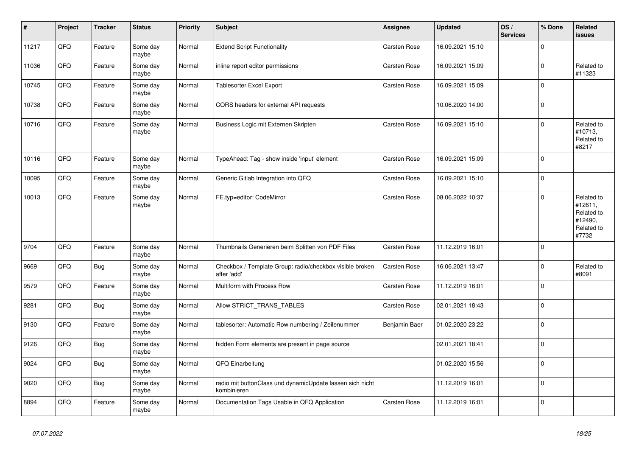| $\vert$ # | Project | <b>Tracker</b> | <b>Status</b>     | <b>Priority</b> | <b>Subject</b>                                                           | <b>Assignee</b> | <b>Updated</b>   | OS/<br><b>Services</b> | % Done      | <b>Related</b><br><b>issues</b>                                       |
|-----------|---------|----------------|-------------------|-----------------|--------------------------------------------------------------------------|-----------------|------------------|------------------------|-------------|-----------------------------------------------------------------------|
| 11217     | QFQ     | Feature        | Some day<br>maybe | Normal          | <b>Extend Script Functionality</b>                                       | Carsten Rose    | 16.09.2021 15:10 |                        | $\Omega$    |                                                                       |
| 11036     | QFQ     | Feature        | Some day<br>maybe | Normal          | inline report editor permissions                                         | Carsten Rose    | 16.09.2021 15:09 |                        | $\mathbf 0$ | Related to<br>#11323                                                  |
| 10745     | QFQ     | Feature        | Some day<br>maybe | Normal          | <b>Tablesorter Excel Export</b>                                          | Carsten Rose    | 16.09.2021 15:09 |                        | $\mathbf 0$ |                                                                       |
| 10738     | QFQ     | Feature        | Some day<br>maybe | Normal          | CORS headers for external API requests                                   |                 | 10.06.2020 14:00 |                        | $\mathbf 0$ |                                                                       |
| 10716     | QFQ     | Feature        | Some day<br>maybe | Normal          | Business Logic mit Externen Skripten                                     | Carsten Rose    | 16.09.2021 15:10 |                        | $\pmb{0}$   | Related to<br>#10713,<br>Related to<br>#8217                          |
| 10116     | QFQ     | Feature        | Some day<br>maybe | Normal          | TypeAhead: Tag - show inside 'input' element                             | Carsten Rose    | 16.09.2021 15:09 |                        | $\pmb{0}$   |                                                                       |
| 10095     | QFQ     | Feature        | Some day<br>maybe | Normal          | Generic Gitlab Integration into QFQ                                      | Carsten Rose    | 16.09.2021 15:10 |                        | $\pmb{0}$   |                                                                       |
| 10013     | QFQ     | Feature        | Some day<br>maybe | Normal          | FE.typ=editor: CodeMirror                                                | Carsten Rose    | 08.06.2022 10:37 |                        | $\mathbf 0$ | Related to<br>#12611,<br>Related to<br>#12490,<br>Related to<br>#7732 |
| 9704      | QFQ     | Feature        | Some day<br>maybe | Normal          | Thumbnails Generieren beim Splitten von PDF Files                        | Carsten Rose    | 11.12.2019 16:01 |                        | $\mathbf 0$ |                                                                       |
| 9669      | QFQ     | Bug            | Some day<br>maybe | Normal          | Checkbox / Template Group: radio/checkbox visible broken<br>after 'add'  | Carsten Rose    | 16.06.2021 13:47 |                        | $\pmb{0}$   | Related to<br>#8091                                                   |
| 9579      | QFQ     | Feature        | Some day<br>maybe | Normal          | Multiform with Process Row                                               | Carsten Rose    | 11.12.2019 16:01 |                        | $\pmb{0}$   |                                                                       |
| 9281      | QFQ     | <b>Bug</b>     | Some day<br>maybe | Normal          | Allow STRICT_TRANS_TABLES                                                | Carsten Rose    | 02.01.2021 18:43 |                        | $\pmb{0}$   |                                                                       |
| 9130      | QFQ     | Feature        | Some day<br>maybe | Normal          | tablesorter: Automatic Row numbering / Zeilenummer                       | Benjamin Baer   | 01.02.2020 23:22 |                        | $\mathbf 0$ |                                                                       |
| 9126      | QFQ     | <b>Bug</b>     | Some day<br>maybe | Normal          | hidden Form elements are present in page source                          |                 | 02.01.2021 18:41 |                        | $\mathbf 0$ |                                                                       |
| 9024      | QFQ     | <b>Bug</b>     | Some day<br>maybe | Normal          | QFQ Einarbeitung                                                         |                 | 01.02.2020 15:56 |                        | $\pmb{0}$   |                                                                       |
| 9020      | QFQ     | Bug            | Some day<br>maybe | Normal          | radio mit buttonClass und dynamicUpdate lassen sich nicht<br>kombinieren |                 | 11.12.2019 16:01 |                        | $\mathbf 0$ |                                                                       |
| 8894      | QFQ     | Feature        | Some day<br>maybe | Normal          | Documentation Tags Usable in QFQ Application                             | Carsten Rose    | 11.12.2019 16:01 |                        | $\mathbf 0$ |                                                                       |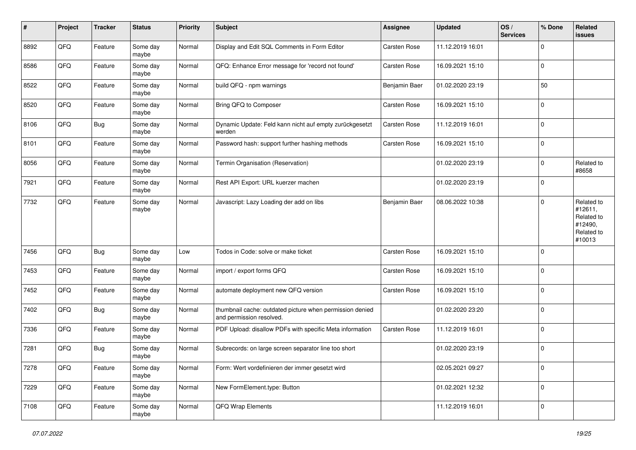| $\sharp$ | Project | <b>Tracker</b> | <b>Status</b>     | <b>Priority</b> | <b>Subject</b>                                                                       | <b>Assignee</b> | Updated          | OS/<br><b>Services</b> | % Done         | Related<br><b>issues</b>                                               |
|----------|---------|----------------|-------------------|-----------------|--------------------------------------------------------------------------------------|-----------------|------------------|------------------------|----------------|------------------------------------------------------------------------|
| 8892     | QFQ     | Feature        | Some day<br>maybe | Normal          | Display and Edit SQL Comments in Form Editor                                         | Carsten Rose    | 11.12.2019 16:01 |                        | $\mathbf 0$    |                                                                        |
| 8586     | QFQ     | Feature        | Some day<br>maybe | Normal          | QFQ: Enhance Error message for 'record not found'                                    | Carsten Rose    | 16.09.2021 15:10 |                        | $\mathbf 0$    |                                                                        |
| 8522     | QFQ     | Feature        | Some day<br>maybe | Normal          | build QFQ - npm warnings                                                             | Benjamin Baer   | 01.02.2020 23:19 |                        | 50             |                                                                        |
| 8520     | QFQ     | Feature        | Some day<br>maybe | Normal          | Bring QFQ to Composer                                                                | Carsten Rose    | 16.09.2021 15:10 |                        | $\mathbf 0$    |                                                                        |
| 8106     | QFQ     | <b>Bug</b>     | Some day<br>maybe | Normal          | Dynamic Update: Feld kann nicht auf empty zurückgesetzt<br>werden                    | Carsten Rose    | 11.12.2019 16:01 |                        | $\mathbf{0}$   |                                                                        |
| 8101     | QFQ     | Feature        | Some day<br>maybe | Normal          | Password hash: support further hashing methods                                       | Carsten Rose    | 16.09.2021 15:10 |                        | $\overline{0}$ |                                                                        |
| 8056     | QFQ     | Feature        | Some day<br>maybe | Normal          | Termin Organisation (Reservation)                                                    |                 | 01.02.2020 23:19 |                        | $\mathbf{0}$   | Related to<br>#8658                                                    |
| 7921     | QFQ     | Feature        | Some day<br>maybe | Normal          | Rest API Export: URL kuerzer machen                                                  |                 | 01.02.2020 23:19 |                        | $\mathbf{0}$   |                                                                        |
| 7732     | QFQ     | Feature        | Some day<br>maybe | Normal          | Javascript: Lazy Loading der add on libs                                             | Benjamin Baer   | 08.06.2022 10:38 |                        | $\mathbf{0}$   | Related to<br>#12611,<br>Related to<br>#12490,<br>Related to<br>#10013 |
| 7456     | QFQ     | <b>Bug</b>     | Some day<br>maybe | Low             | Todos in Code: solve or make ticket                                                  | Carsten Rose    | 16.09.2021 15:10 |                        | $\mathbf{0}$   |                                                                        |
| 7453     | QFQ     | Feature        | Some day<br>maybe | Normal          | import / export forms QFQ                                                            | Carsten Rose    | 16.09.2021 15:10 |                        | $\mathbf{0}$   |                                                                        |
| 7452     | QFQ     | Feature        | Some day<br>maybe | Normal          | automate deployment new QFQ version                                                  | Carsten Rose    | 16.09.2021 15:10 |                        | $\mathbf 0$    |                                                                        |
| 7402     | QFQ     | <b>Bug</b>     | Some day<br>maybe | Normal          | thumbnail cache: outdated picture when permission denied<br>and permission resolved. |                 | 01.02.2020 23:20 |                        | $\mathbf 0$    |                                                                        |
| 7336     | QFQ     | Feature        | Some day<br>maybe | Normal          | PDF Upload: disallow PDFs with specific Meta information                             | Carsten Rose    | 11.12.2019 16:01 |                        | $\mathbf 0$    |                                                                        |
| 7281     | QFQ     | <b>Bug</b>     | Some day<br>maybe | Normal          | Subrecords: on large screen separator line too short                                 |                 | 01.02.2020 23:19 |                        | $\mathbf 0$    |                                                                        |
| 7278     | QFQ     | Feature        | Some day<br>maybe | Normal          | Form: Wert vordefinieren der immer gesetzt wird                                      |                 | 02.05.2021 09:27 |                        | $\mathbf 0$    |                                                                        |
| 7229     | QFQ     | Feature        | Some day<br>maybe | Normal          | New FormElement.type: Button                                                         |                 | 01.02.2021 12:32 |                        | $\mathbf 0$    |                                                                        |
| 7108     | QFQ     | Feature        | Some day<br>maybe | Normal          | QFQ Wrap Elements                                                                    |                 | 11.12.2019 16:01 |                        | $\mathbf 0$    |                                                                        |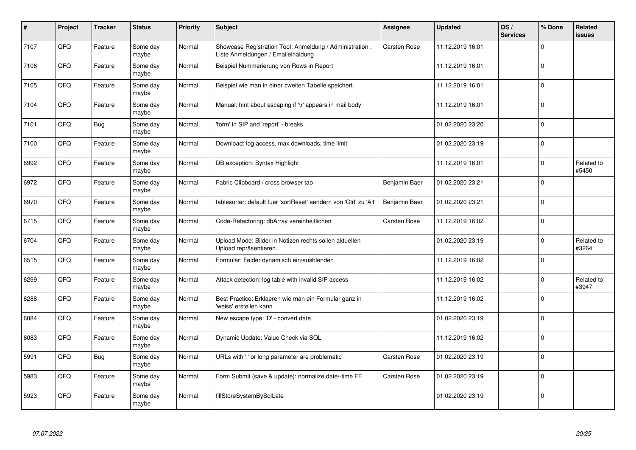| #    | Project | <b>Tracker</b> | <b>Status</b>     | <b>Priority</b> | <b>Subject</b>                                                                                 | <b>Assignee</b> | <b>Updated</b>   | OS/<br><b>Services</b> | % Done      | Related<br>issues   |
|------|---------|----------------|-------------------|-----------------|------------------------------------------------------------------------------------------------|-----------------|------------------|------------------------|-------------|---------------------|
| 7107 | QFQ     | Feature        | Some day<br>maybe | Normal          | Showcase Registration Tool: Anmeldung / Administration :<br>Liste Anmeldungen / Emaileinaldung | Carsten Rose    | 11.12.2019 16:01 |                        | $\Omega$    |                     |
| 7106 | QFQ     | Feature        | Some day<br>maybe | Normal          | Beispiel Nummerierung von Rows in Report                                                       |                 | 11.12.2019 16:01 |                        | $\Omega$    |                     |
| 7105 | QFQ     | Feature        | Some day<br>maybe | Normal          | Beispiel wie man in einer zweiten Tabelle speichert.                                           |                 | 11.12.2019 16:01 |                        | $\Omega$    |                     |
| 7104 | QFQ     | Feature        | Some day<br>maybe | Normal          | Manual: hint about escaping if '\r' appears in mail body                                       |                 | 11.12.2019 16:01 |                        | $\Omega$    |                     |
| 7101 | QFQ     | Bug            | Some day<br>maybe | Normal          | 'form' in SIP and 'report' - breaks                                                            |                 | 01.02.2020 23:20 |                        | $\Omega$    |                     |
| 7100 | QFQ     | Feature        | Some day<br>maybe | Normal          | Download: log access, max downloads, time limit                                                |                 | 01.02.2020 23:19 |                        | $\mathbf 0$ |                     |
| 6992 | QFQ     | Feature        | Some day<br>maybe | Normal          | DB exception: Syntax Highlight                                                                 |                 | 11.12.2019 16:01 |                        | $\mathbf 0$ | Related to<br>#5450 |
| 6972 | QFQ     | Feature        | Some day<br>maybe | Normal          | Fabric Clipboard / cross browser tab                                                           | Benjamin Baer   | 01.02.2020 23:21 |                        | $\Omega$    |                     |
| 6970 | QFQ     | Feature        | Some day<br>maybe | Normal          | tablesorter: default fuer 'sortReset' aendern von 'Ctrl' zu 'Alt'                              | Benjamin Baer   | 01.02.2020 23:21 |                        | $\Omega$    |                     |
| 6715 | QFQ     | Feature        | Some day<br>maybe | Normal          | Code-Refactoring: dbArray vereinheitlichen                                                     | Carsten Rose    | 11.12.2019 16:02 |                        | $\pmb{0}$   |                     |
| 6704 | QFQ     | Feature        | Some day<br>maybe | Normal          | Upload Mode: Bilder in Notizen rechts sollen aktuellen<br>Upload repräsentieren.               |                 | 01.02.2020 23:19 |                        | 0           | Related to<br>#3264 |
| 6515 | QFQ     | Feature        | Some day<br>maybe | Normal          | Formular: Felder dynamisch ein/ausblenden                                                      |                 | 11.12.2019 16:02 |                        | $\mathbf 0$ |                     |
| 6299 | QFQ     | Feature        | Some day<br>maybe | Normal          | Attack detection: log table with invalid SIP access                                            |                 | 11.12.2019 16:02 |                        | $\Omega$    | Related to<br>#3947 |
| 6288 | QFQ     | Feature        | Some day<br>maybe | Normal          | Best Practice: Erklaeren wie man ein Formular ganz in<br>weiss' erstellen kann                 |                 | 11.12.2019 16:02 |                        | $\mathbf 0$ |                     |
| 6084 | QFQ     | Feature        | Some day<br>maybe | Normal          | New escape type: 'D' - convert date                                                            |                 | 01.02.2020 23:19 |                        | $\Omega$    |                     |
| 6083 | QFQ     | Feature        | Some day<br>maybe | Normal          | Dynamic Update: Value Check via SQL                                                            |                 | 11.12.2019 16:02 |                        | $\Omega$    |                     |
| 5991 | QFQ     | <b>Bug</b>     | Some day<br>maybe | Normal          | URLs with ' ' or long parameter are problematic                                                | Carsten Rose    | 01.02.2020 23:19 |                        | $\Omega$    |                     |
| 5983 | QFQ     | Feature        | Some day<br>maybe | Normal          | Form Submit (save & update): normalize date/-time FE                                           | Carsten Rose    | 01.02.2020 23:19 |                        | $\mathbf 0$ |                     |
| 5923 | QFQ     | Feature        | Some day<br>maybe | Normal          | fillStoreSystemBySqlLate                                                                       |                 | 01.02.2020 23:19 |                        | $\Omega$    |                     |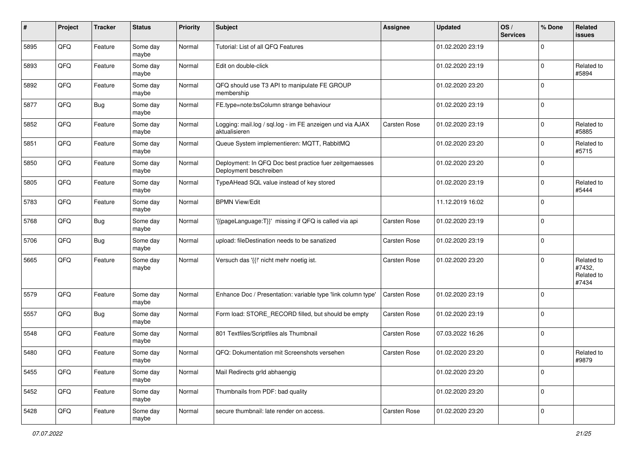| #    | Project | <b>Tracker</b> | <b>Status</b>     | <b>Priority</b> | <b>Subject</b>                                                                    | <b>Assignee</b> | <b>Updated</b>   | OS/<br><b>Services</b> | % Done      | Related<br>issues                           |
|------|---------|----------------|-------------------|-----------------|-----------------------------------------------------------------------------------|-----------------|------------------|------------------------|-------------|---------------------------------------------|
| 5895 | QFQ     | Feature        | Some day<br>maybe | Normal          | Tutorial: List of all QFQ Features                                                |                 | 01.02.2020 23:19 |                        | $\mathbf 0$ |                                             |
| 5893 | QFQ     | Feature        | Some day<br>maybe | Normal          | Edit on double-click                                                              |                 | 01.02.2020 23:19 |                        | $\mathbf 0$ | Related to<br>#5894                         |
| 5892 | QFQ     | Feature        | Some day<br>maybe | Normal          | QFQ should use T3 API to manipulate FE GROUP<br>membership                        |                 | 01.02.2020 23:20 |                        | $\mathbf 0$ |                                             |
| 5877 | QFQ     | Bug            | Some day<br>maybe | Normal          | FE.type=note:bsColumn strange behaviour                                           |                 | 01.02.2020 23:19 |                        | $\mathbf 0$ |                                             |
| 5852 | QFQ     | Feature        | Some day<br>maybe | Normal          | Logging: mail.log / sql.log - im FE anzeigen und via AJAX<br>aktualisieren        | Carsten Rose    | 01.02.2020 23:19 |                        | $\mathbf 0$ | Related to<br>#5885                         |
| 5851 | QFQ     | Feature        | Some day<br>maybe | Normal          | Queue System implementieren: MQTT, RabbitMQ                                       |                 | 01.02.2020 23:20 |                        | $\mathbf 0$ | Related to<br>#5715                         |
| 5850 | QFQ     | Feature        | Some day<br>maybe | Normal          | Deployment: In QFQ Doc best practice fuer zeitgemaesses<br>Deployment beschreiben |                 | 01.02.2020 23:20 |                        | $\mathbf 0$ |                                             |
| 5805 | QFQ     | Feature        | Some day<br>maybe | Normal          | TypeAHead SQL value instead of key stored                                         |                 | 01.02.2020 23:19 |                        | $\mathbf 0$ | Related to<br>#5444                         |
| 5783 | QFQ     | Feature        | Some day<br>maybe | Normal          | <b>BPMN View/Edit</b>                                                             |                 | 11.12.2019 16:02 |                        | 0           |                                             |
| 5768 | QFQ     | <b>Bug</b>     | Some day<br>maybe | Normal          | '{{pageLanguage:T}}' missing if QFQ is called via api                             | Carsten Rose    | 01.02.2020 23:19 |                        | $\mathbf 0$ |                                             |
| 5706 | QFQ     | Bug            | Some day<br>maybe | Normal          | upload: fileDestination needs to be sanatized                                     | Carsten Rose    | 01.02.2020 23:19 |                        | 0           |                                             |
| 5665 | QFQ     | Feature        | Some day<br>maybe | Normal          | Versuch das '{{!' nicht mehr noetig ist.                                          | Carsten Rose    | 01.02.2020 23:20 |                        | $\mathbf 0$ | Related to<br>#7432,<br>Related to<br>#7434 |
| 5579 | QFQ     | Feature        | Some day<br>maybe | Normal          | Enhance Doc / Presentation: variable type 'link column type'                      | Carsten Rose    | 01.02.2020 23:19 |                        | $\mathbf 0$ |                                             |
| 5557 | QFQ     | <b>Bug</b>     | Some day<br>maybe | Normal          | Form load: STORE_RECORD filled, but should be empty                               | Carsten Rose    | 01.02.2020 23:19 |                        | $\mathbf 0$ |                                             |
| 5548 | QFQ     | Feature        | Some day<br>maybe | Normal          | 801 Textfiles/Scriptfiles als Thumbnail                                           | Carsten Rose    | 07.03.2022 16:26 |                        | 0           |                                             |
| 5480 | QFQ     | Feature        | Some day<br>maybe | Normal          | QFQ: Dokumentation mit Screenshots versehen                                       | Carsten Rose    | 01.02.2020 23:20 |                        | 0           | Related to<br>#9879                         |
| 5455 | QFQ     | Feature        | Some day<br>maybe | Normal          | Mail Redirects grld abhaengig                                                     |                 | 01.02.2020 23:20 |                        | $\mathbf 0$ |                                             |
| 5452 | QFQ     | Feature        | Some day<br>maybe | Normal          | Thumbnails from PDF: bad quality                                                  |                 | 01.02.2020 23:20 |                        | $\pmb{0}$   |                                             |
| 5428 | QFQ     | Feature        | Some day<br>maybe | Normal          | secure thumbnail: late render on access.                                          | Carsten Rose    | 01.02.2020 23:20 |                        | $\pmb{0}$   |                                             |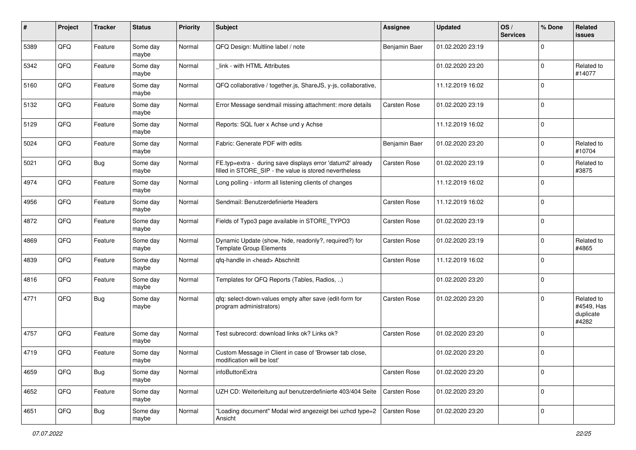| #    | Project | <b>Tracker</b> | <b>Status</b>     | <b>Priority</b> | <b>Subject</b>                                                                                                       | Assignee      | <b>Updated</b>   | OS/<br><b>Services</b> | % Done      | Related<br>issues                              |
|------|---------|----------------|-------------------|-----------------|----------------------------------------------------------------------------------------------------------------------|---------------|------------------|------------------------|-------------|------------------------------------------------|
| 5389 | QFQ     | Feature        | Some day<br>maybe | Normal          | QFQ Design: Multline label / note                                                                                    | Benjamin Baer | 01.02.2020 23:19 |                        | $\mathbf 0$ |                                                |
| 5342 | QFQ     | Feature        | Some day<br>maybe | Normal          | link - with HTML Attributes                                                                                          |               | 01.02.2020 23:20 |                        | $\mathbf 0$ | Related to<br>#14077                           |
| 5160 | QFQ     | Feature        | Some day<br>maybe | Normal          | QFQ collaborative / together.js, ShareJS, y-js, collaborative,                                                       |               | 11.12.2019 16:02 |                        | $\mathbf 0$ |                                                |
| 5132 | QFQ     | Feature        | Some day<br>maybe | Normal          | Error Message sendmail missing attachment: more details                                                              | Carsten Rose  | 01.02.2020 23:19 |                        | $\mathbf 0$ |                                                |
| 5129 | QFQ     | Feature        | Some day<br>maybe | Normal          | Reports: SQL fuer x Achse und y Achse                                                                                |               | 11.12.2019 16:02 |                        | $\mathbf 0$ |                                                |
| 5024 | QFQ     | Feature        | Some day<br>maybe | Normal          | Fabric: Generate PDF with edits                                                                                      | Benjamin Baer | 01.02.2020 23:20 |                        | $\mathbf 0$ | Related to<br>#10704                           |
| 5021 | QFQ     | Bug            | Some day<br>maybe | Normal          | FE.typ=extra - during save displays error 'datum2' already<br>filled in STORE_SIP - the value is stored nevertheless | Carsten Rose  | 01.02.2020 23:19 |                        | $\mathbf 0$ | Related to<br>#3875                            |
| 4974 | QFQ     | Feature        | Some day<br>maybe | Normal          | Long polling - inform all listening clients of changes                                                               |               | 11.12.2019 16:02 |                        | $\mathbf 0$ |                                                |
| 4956 | QFQ     | Feature        | Some day<br>maybe | Normal          | Sendmail: Benutzerdefinierte Headers                                                                                 | Carsten Rose  | 11.12.2019 16:02 |                        | $\mathbf 0$ |                                                |
| 4872 | QFQ     | Feature        | Some day<br>maybe | Normal          | Fields of Typo3 page available in STORE_TYPO3                                                                        | Carsten Rose  | 01.02.2020 23:19 |                        | $\mathbf 0$ |                                                |
| 4869 | QFQ     | Feature        | Some day<br>maybe | Normal          | Dynamic Update (show, hide, readonly?, required?) for<br><b>Template Group Elements</b>                              | Carsten Rose  | 01.02.2020 23:19 |                        | 0           | Related to<br>#4865                            |
| 4839 | QFQ     | Feature        | Some day<br>maybe | Normal          | qfq-handle in <head> Abschnitt</head>                                                                                | Carsten Rose  | 11.12.2019 16:02 |                        | $\mathbf 0$ |                                                |
| 4816 | QFQ     | Feature        | Some day<br>maybe | Normal          | Templates for QFQ Reports (Tables, Radios, )                                                                         |               | 01.02.2020 23:20 |                        | $\mathbf 0$ |                                                |
| 4771 | QFQ     | Bug            | Some day<br>maybe | Normal          | qfq: select-down-values empty after save (edit-form for<br>program administrators)                                   | Carsten Rose  | 01.02.2020 23:20 |                        | $\mathbf 0$ | Related to<br>#4549, Has<br>duplicate<br>#4282 |
| 4757 | QFQ     | Feature        | Some day<br>maybe | Normal          | Test subrecord: download links ok? Links ok?                                                                         | Carsten Rose  | 01.02.2020 23:20 |                        | $\mathbf 0$ |                                                |
| 4719 | QFQ     | Feature        | Some day<br>maybe | Normal          | Custom Message in Client in case of 'Browser tab close,<br>modification will be lost'                                |               | 01.02.2020 23:20 |                        | $\mathbf 0$ |                                                |
| 4659 | QFQ     | <b>Bug</b>     | Some day<br>maybe | Normal          | infoButtonExtra                                                                                                      | Carsten Rose  | 01.02.2020 23:20 |                        | $\mathbf 0$ |                                                |
| 4652 | QFQ     | Feature        | Some day<br>maybe | Normal          | UZH CD: Weiterleitung auf benutzerdefinierte 403/404 Seite                                                           | Carsten Rose  | 01.02.2020 23:20 |                        | $\mathbf 0$ |                                                |
| 4651 | QFQ     | Bug            | Some day<br>maybe | Normal          | "Loading document" Modal wird angezeigt bei uzhcd type=2<br>Ansicht                                                  | Carsten Rose  | 01.02.2020 23:20 |                        | $\pmb{0}$   |                                                |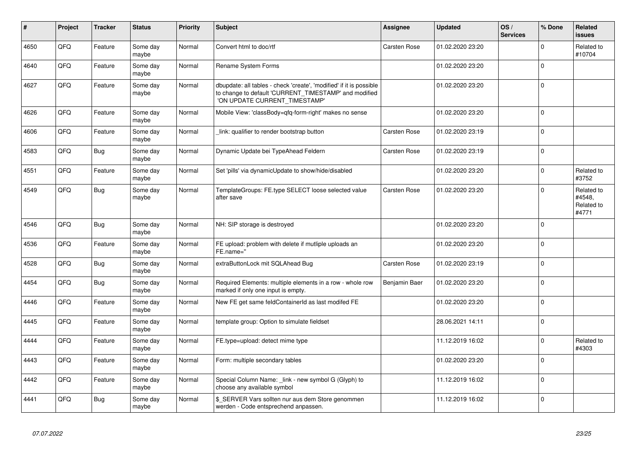| #    | Project | <b>Tracker</b> | <b>Status</b>     | <b>Priority</b> | <b>Subject</b>                                                                                                                                                | <b>Assignee</b> | <b>Updated</b>   | OS/<br><b>Services</b> | % Done      | <b>Related</b><br><b>issues</b>             |
|------|---------|----------------|-------------------|-----------------|---------------------------------------------------------------------------------------------------------------------------------------------------------------|-----------------|------------------|------------------------|-------------|---------------------------------------------|
| 4650 | QFQ     | Feature        | Some day<br>maybe | Normal          | Convert html to doc/rtf                                                                                                                                       | Carsten Rose    | 01.02.2020 23:20 |                        | $\Omega$    | Related to<br>#10704                        |
| 4640 | QFQ     | Feature        | Some day<br>maybe | Normal          | <b>Rename System Forms</b>                                                                                                                                    |                 | 01.02.2020 23:20 |                        | $\Omega$    |                                             |
| 4627 | QFQ     | Feature        | Some day<br>maybe | Normal          | dbupdate: all tables - check 'create', 'modified' if it is possible<br>to change to default 'CURRENT_TIMESTAMP' and modified<br>'ON UPDATE CURRENT_TIMESTAMP' |                 | 01.02.2020 23:20 |                        | $\Omega$    |                                             |
| 4626 | QFQ     | Feature        | Some day<br>maybe | Normal          | Mobile View: 'classBody=qfq-form-right' makes no sense                                                                                                        |                 | 01.02.2020 23:20 |                        | $\Omega$    |                                             |
| 4606 | QFQ     | Feature        | Some day<br>maybe | Normal          | link: qualifier to render bootstrap button                                                                                                                    | Carsten Rose    | 01.02.2020 23:19 |                        | $\Omega$    |                                             |
| 4583 | QFQ     | <b>Bug</b>     | Some day<br>maybe | Normal          | Dynamic Update bei TypeAhead Feldern                                                                                                                          | Carsten Rose    | 01.02.2020 23:19 |                        | $\Omega$    |                                             |
| 4551 | QFQ     | Feature        | Some day<br>maybe | Normal          | Set 'pills' via dynamicUpdate to show/hide/disabled                                                                                                           |                 | 01.02.2020 23:20 |                        | $\mathbf 0$ | Related to<br>#3752                         |
| 4549 | QFQ     | Bug            | Some day<br>maybe | Normal          | TemplateGroups: FE.type SELECT loose selected value<br>after save                                                                                             | Carsten Rose    | 01.02.2020 23:20 |                        | $\Omega$    | Related to<br>#4548,<br>Related to<br>#4771 |
| 4546 | QFQ     | <b>Bug</b>     | Some day<br>maybe | Normal          | NH: SIP storage is destroyed                                                                                                                                  |                 | 01.02.2020 23:20 |                        | $\Omega$    |                                             |
| 4536 | QFQ     | Feature        | Some day<br>maybe | Normal          | FE upload: problem with delete if mutliple uploads an<br>FE.name="                                                                                            |                 | 01.02.2020 23:20 |                        | $\Omega$    |                                             |
| 4528 | QFQ     | <b>Bug</b>     | Some day<br>maybe | Normal          | extraButtonLock mit SQLAhead Bug                                                                                                                              | Carsten Rose    | 01.02.2020 23:19 |                        | $\Omega$    |                                             |
| 4454 | QFQ     | <b>Bug</b>     | Some day<br>maybe | Normal          | Required Elements: multiple elements in a row - whole row<br>marked if only one input is empty.                                                               | Benjamin Baer   | 01.02.2020 23:20 |                        | $\Omega$    |                                             |
| 4446 | QFQ     | Feature        | Some day<br>maybe | Normal          | New FE get same feldContainerId as last modifed FE                                                                                                            |                 | 01.02.2020 23:20 |                        | $\Omega$    |                                             |
| 4445 | QFQ     | Feature        | Some day<br>maybe | Normal          | template group: Option to simulate fieldset                                                                                                                   |                 | 28.06.2021 14:11 |                        | $\Omega$    |                                             |
| 4444 | QFQ     | Feature        | Some day<br>maybe | Normal          | FE.type=upload: detect mime type                                                                                                                              |                 | 11.12.2019 16:02 |                        | $\Omega$    | Related to<br>#4303                         |
| 4443 | QFQ     | Feature        | Some day<br>maybe | Normal          | Form: multiple secondary tables                                                                                                                               |                 | 01.02.2020 23:20 |                        | $\Omega$    |                                             |
| 4442 | QFQ     | Feature        | Some day<br>maybe | Normal          | Special Column Name: link - new symbol G (Glyph) to<br>choose any available symbol                                                                            |                 | 11.12.2019 16:02 |                        | $\Omega$    |                                             |
| 4441 | QFQ     | Bug            | Some day<br>maybe | Normal          | \$ SERVER Vars sollten nur aus dem Store genommen<br>werden - Code entsprechend anpassen.                                                                     |                 | 11.12.2019 16:02 |                        | $\Omega$    |                                             |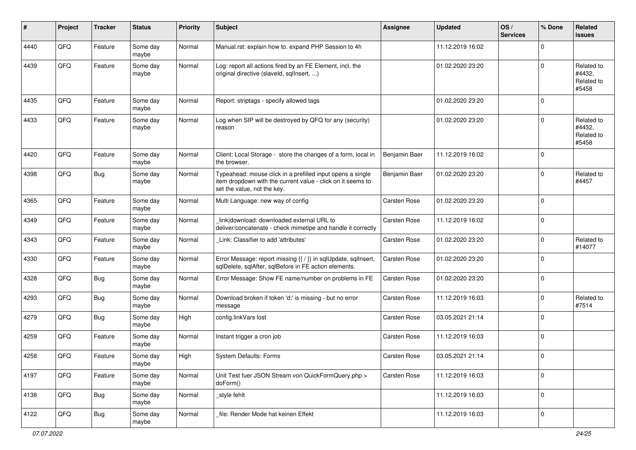| #    | Project | <b>Tracker</b> | <b>Status</b>     | <b>Priority</b> | <b>Subject</b>                                                                                                                                           | <b>Assignee</b> | <b>Updated</b>   | OS/<br><b>Services</b> | % Done      | <b>Related</b><br>issues                    |
|------|---------|----------------|-------------------|-----------------|----------------------------------------------------------------------------------------------------------------------------------------------------------|-----------------|------------------|------------------------|-------------|---------------------------------------------|
| 4440 | QFQ     | Feature        | Some day<br>maybe | Normal          | Manual.rst: explain how to. expand PHP Session to 4h                                                                                                     |                 | 11.12.2019 16:02 |                        | $\Omega$    |                                             |
| 4439 | QFQ     | Feature        | Some day<br>maybe | Normal          | Log: report all actions fired by an FE Element, incl. the<br>original directive (slaveld, sqllnsert, )                                                   |                 | 01.02.2020 23:20 |                        | $\Omega$    | Related to<br>#4432,<br>Related to<br>#5458 |
| 4435 | QFQ     | Feature        | Some day<br>maybe | Normal          | Report: striptags - specify allowed tags                                                                                                                 |                 | 01.02.2020 23:20 |                        | $\mathbf 0$ |                                             |
| 4433 | QFQ     | Feature        | Some day<br>maybe | Normal          | Log when SIP will be destroyed by QFQ for any (security)<br>reason                                                                                       |                 | 01.02.2020 23:20 |                        | $\mathbf 0$ | Related to<br>#4432,<br>Related to<br>#5458 |
| 4420 | QFQ     | Feature        | Some day<br>maybe | Normal          | Client: Local Storage - store the changes of a form, local in<br>the browser.                                                                            | Benjamin Baer   | 11.12.2019 16:02 |                        | $\mathbf 0$ |                                             |
| 4398 | QFQ     | <b>Bug</b>     | Some day<br>maybe | Normal          | Typeahead: mouse click in a prefilled input opens a single<br>item dropdown with the current value - click on it seems to<br>set the value, not the key. | Benjamin Baer   | 01.02.2020 23:20 |                        | $\mathbf 0$ | Related to<br>#4457                         |
| 4365 | QFQ     | Feature        | Some day<br>maybe | Normal          | Multi Language: new way of config                                                                                                                        | Carsten Rose    | 01.02.2020 23:20 |                        | $\mathbf 0$ |                                             |
| 4349 | QFQ     | Feature        | Some day<br>maybe | Normal          | link download: downloaded external URL to<br>deliver/concatenate - check mimetipe and handle it correctly                                                | Carsten Rose    | 11.12.2019 16:02 |                        | $\mathbf 0$ |                                             |
| 4343 | QFQ     | Feature        | Some day<br>maybe | Normal          | Link: Classifier to add 'attributes'                                                                                                                     | Carsten Rose    | 01.02.2020 23:20 |                        | $\mathbf 0$ | Related to<br>#14077                        |
| 4330 | QFQ     | Feature        | Some day<br>maybe | Normal          | Error Message: report missing {{ / }} in sqlUpdate, sqlInsert,<br>sqlDelete, sqlAfter, sqlBefore in FE action elements.                                  | Carsten Rose    | 01.02.2020 23:20 |                        | $\mathbf 0$ |                                             |
| 4328 | QFQ     | <b>Bug</b>     | Some day<br>maybe | Normal          | Error Message: Show FE name/number on problems in FE                                                                                                     | Carsten Rose    | 01.02.2020 23:20 |                        | $\mathbf 0$ |                                             |
| 4293 | QFQ     | <b>Bug</b>     | Some day<br>maybe | Normal          | Download broken if token 'd:' is missing - but no error<br>message                                                                                       | Carsten Rose    | 11.12.2019 16:03 |                        | $\mathbf 0$ | Related to<br>#7514                         |
| 4279 | QFQ     | <b>Bug</b>     | Some day<br>maybe | High            | config.linkVars lost                                                                                                                                     | Carsten Rose    | 03.05.2021 21:14 |                        | $\mathbf 0$ |                                             |
| 4259 | QFQ     | Feature        | Some day<br>maybe | Normal          | Instant trigger a cron job                                                                                                                               | Carsten Rose    | 11.12.2019 16:03 |                        | $\mathbf 0$ |                                             |
| 4258 | QFQ     | Feature        | Some day<br>maybe | High            | <b>System Defaults: Forms</b>                                                                                                                            | Carsten Rose    | 03.05.2021 21:14 |                        | 0           |                                             |
| 4197 | QFO     | Feature        | Some day<br>maybe | Normal          | Unit Test fuer JSON Stream von QuickFormQuery.php ><br>doForm()                                                                                          | Carsten Rose    | 11.12.2019 16:03 |                        | $\mathbf 0$ |                                             |
| 4138 | QFO     | <b>Bug</b>     | Some day<br>maybe | Normal          | _style fehlt                                                                                                                                             |                 | 11.12.2019 16:03 |                        | 0           |                                             |
| 4122 | QFO     | <b>Bug</b>     | Some day<br>maybe | Normal          | file: Render Mode hat keinen Effekt                                                                                                                      |                 | 11.12.2019 16:03 |                        | 0           |                                             |